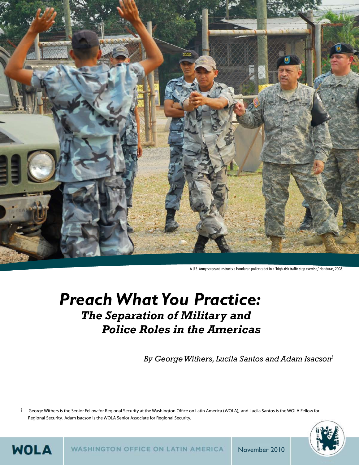

A U.S. Army sergeant instructs a Honduran police cadet in a "high-risk traffic stop exercise," Honduras, 2008.

# *Preach What You Practice: The Separation of Military and Police Roles in the Americas*

 *By George Withers, Lucila Santos and Adam Isacsoni*

i George Withers is the Senior Fellow for Regional Security at the Washington Office on Latin America (WOLA), and Lucila Santos is the WOLA Fellow for Regional Security. Adam Isacson is the WOLA Senior Associate for Regional Security.



**WASHINGTON OFFICE ON LATIN AMERICA** November 2010

**WOLA** 

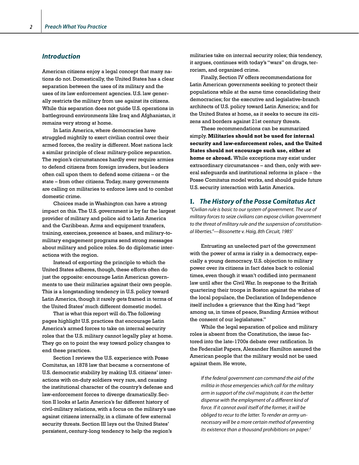### *Introduction*

American citizens enjoy a legal concept that many nations do not. Domestically, the United States has a clear separation between the uses of its military and the uses of its law enforcement agencies. U.S. law generally restricts the military from use against its citizens. While this separation does not guide U.S. operations in battleground environments like Iraq and Afghanistan, it remains very strong at home.

In Latin America, where democracies have struggled mightily to exert civilian control over their armed forces, the reality is different. Most nations lack a similar principle of clear military-police separation. The region's circumstances hardly ever require armies to defend citizens from foreign invaders, but leaders often call upon them to defend some citizens – or the state – from other citizens. Today, many governments are calling on militaries to enforce laws and to combat domestic crime.

Choices made in Washington can have a strong impact on this. The U.S. government is by far the largest provider of military and police aid to Latin America and the Caribbean. Arms and equipment transfers, training, exercises, presence at bases, and military-tomilitary engagement programs send strong messages about military and police roles. So do diplomatic interactions with the region.

Instead of exporting the principle to which the United States adheres, though, these efforts often do just the opposite: encourage Latin American governments to use their militaries against their own people. This is a longstanding tendency in U.S. policy toward Latin America, though it rarely gets framed in terms of the United States' much different domestic model.

That is what this report will do. The following pages highlight U.S. practices that encourage Latin America's armed forces to take on internal security roles that the U.S. military cannot legally play at home. They go on to point the way toward policy changes to end these practices.

Section I reviews the U.S. experience with Posse Comitatus, an 1878 law that became a cornerstone of U.S. democratic stability by making U.S. citizens' interactions with on-duty soldiers very rare, and causing the institutional character of the country's defense and law-enforcement forces to diverge dramatically. Section II looks at Latin America's far different history of civil-military relations, with a focus on the military's use against citizens internally, in a climate of few external security threats. Section III lays out the United States' persistent, century-long tendency to help the region's

militaries take on internal security roles; this tendency, it argues, continues with today's "wars" on drugs, terrorism, and organized crime.

Finally, Section IV offers recommendations for Latin American governments seeking to protect their populations while at the same time consolidating their democracies; for the executive and legislative-branch architects of U.S. policy toward Latin America; and for the United States at home, as it seeks to secure its citizens and borders against 21st century threats.

These recommendations can be summarized simply. **Militaries should not be used for internal security and law-enforcement roles, and the United States should not encourage such use, either at home or abroad.** While exceptions may exist under extraordinary circumstances – and then, only with several safeguards and institutional reforms in place – the Posse Comitatus model works, and should guide future U.S. security interaction with Latin America.

### I. *The History of the Posse Comitatus Act*

*"Civilian rule is basic to our system of government. The use of military forces to seize civilians can expose civilian government to the threat of military rule and the suspension of constitutional liberties."—Bissonette v. Haig, 8th Circuit, 19851*

Entrusting an unelected part of the government with the power of arms is risky in a democracy, especially a young democracy. U.S. objection to military power over its citizens in fact dates back to colonial times, even though it wasn't codified into permanent law until after the Civil War. In response to the British quartering their troops in Boston against the wishes of the local populace, the Declaration of Independence itself includes a grievance that the King had "kept among us, in times of peace, Standing Armies without the consent of our legislatures."

While the legal separation of police and military roles is absent from the Constitution, the issue factored into the late-1700s debate over ratification. In the Federalist Papers, Alexander Hamilton assured the American people that the military would not be used against them. He wrote,

*If the federal government can command the aid of the militia in those emergencies which call for the military arm in support of the civil magistrate, it can the better dispense with the employment of a different kind of force. If it cannot avail itself of the former, it will be obliged to recur to the latter. To render an army unnecessary will be a more certain method of preventing its existence than a thousand prohibitions on paper.2*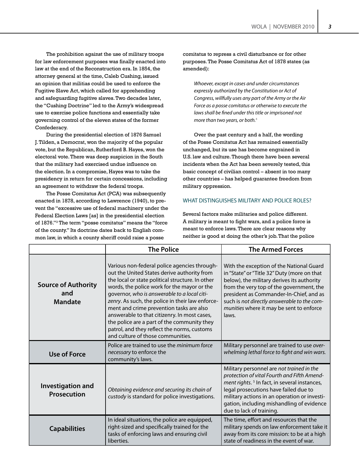The prohibition against the use of military troops for law enforcement purposes was finally enacted into law at the end of the Reconstruction era. In 1854, the attorney general at the time, Caleb Cushing, issued an opinion that militias could be used to enforce the Fugitive Slave Act, which called for apprehending and safeguarding fugitive slaves. Two decades later, the "Cushing Doctrine" led to the Army's widespread use to exercise police functions and essentially take governing control of the eleven states of the former Confederacy.

During the presidential election of 1876 Samuel J. Tilden, a Democrat, won the majority of the popular vote, but the Republican, Rutherford B. Hayes, won the electoral vote. There was deep suspicion in the South that the military had exercised undue influence on the election. In a compromise, Hayes was to take the presidency in return for certain concessions, including an agreement to withdraw the federal troops.

The Posse Comitatus Act (PCA) was subsequently enacted in 1878, according to Lawrence (1940), to prevent the "excessive use of federal machinery under the Federal Election Laws [as] in the presidential election of 1876."3 The term "posse comitatus" means the "force of the county." Its doctrine dates back to English common law, in which a county sheriff could raise a posse

comitatus to repress a civil disturbance or for other purposes. The Posse Comitatus Act of 1878 states (as amended):

*Whoever, except in cases and under circumstances expressly authorized by the Constitution or Act of Congress, willfully uses any part of the Army or the Air Force as a posse comitatus or otherwise to execute the laws shall be fined under this title or imprisoned not more than two years, or both.*<sup>4</sup>

Over the past century and a half, the wording of the Posse Comitatus Act has remained essentially unchanged, but its use has become engrained in U.S. law and culture. Though there have been several incidents when the Act has been severely tested, this basic concept of civilian control – absent in too many other countries – has helped guarantee freedom from military oppression.

### WHAT DISTINGUISHES MILITARY AND POLICE ROLES?

Several factors make militaries and police different. A military is meant to fight wars, and a police force is meant to enforce laws. There are clear reasons why neither is good at doing the other's job. That the police

|                                                     | <b>The Police</b>                                                                                                                                                                                                                                                                                                                                                                                                                                                                                                                 | <b>The Armed Forces</b>                                                                                                                                                                                                                                                                                                          |
|-----------------------------------------------------|-----------------------------------------------------------------------------------------------------------------------------------------------------------------------------------------------------------------------------------------------------------------------------------------------------------------------------------------------------------------------------------------------------------------------------------------------------------------------------------------------------------------------------------|----------------------------------------------------------------------------------------------------------------------------------------------------------------------------------------------------------------------------------------------------------------------------------------------------------------------------------|
| <b>Source of Authority</b><br>and<br><b>Mandate</b> | Various non-federal police agencies through-<br>out the United States derive authority from<br>the local or state political structure. In other<br>words, the police work for the mayor or the<br>governor, who is answerable to a local citi-<br>zenry. As such, the police in their law enforce-<br>ment and crime prevention tasks are also<br>answerable to that citizenry. In most cases,<br>the police are a part of the community they<br>patrol, and they reflect the norms, customs<br>and culture of those communities. | With the exception of the National Guard<br>in "State" or "Title 32" Duty (more on that<br>below), the military derives its authority<br>from the very top of the government, the<br>president as Commander-In-Chief, and as<br>such is not directly answerable to the com-<br>munities where it may be sent to enforce<br>laws. |
| <b>Use of Force</b>                                 | Police are trained to use the <i>minimum force</i><br>necessary to enforce the<br>community's laws.                                                                                                                                                                                                                                                                                                                                                                                                                               | Military personnel are trained to use over-<br>whelming lethal force to fight and win wars.                                                                                                                                                                                                                                      |
| Investigation and<br><b>Prosecution</b>             | Obtaining evidence and securing its chain of<br>custody is standard for police investigations.                                                                                                                                                                                                                                                                                                                                                                                                                                    | Military personnel are not trained in the<br>protection of vital Fourth and Fifth Amend-<br>ment rights. <sup>5</sup> In fact, in several instances,<br>legal prosecutions have failed due to<br>military actions in an operation or investi-<br>gation, including mishandling of evidence<br>due to lack of training.           |
| <b>Capabilities</b>                                 | In ideal situations, the police are equipped,<br>right-sized and specifically trained for the<br>tasks of enforcing laws and ensuring civil<br>liberties.                                                                                                                                                                                                                                                                                                                                                                         | The time, effort and resources that the<br>military spends on law enforcement take it<br>away from its core mission: to be at a high<br>state of readiness in the event of war.                                                                                                                                                  |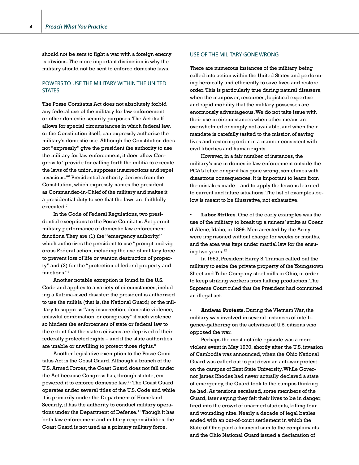*4*

should not be sent to fight a war with a foreign enemy is obvious. The more important distinction is why the military should not be sent to enforce domestic laws.

### POWERS TO USE THE MILITARY WITHIN THE UNITED **STATES**

The Posse Comitatus Act does not absolutely forbid any federal use of the military for law enforcement or other domestic security purposes. The Act itself allows for special circumstances in which federal law, or the Constitution itself, can expressly authorize the military's domestic use. Although the Constitution does not "expressly" give the president the authority to use the military for law enforcement, it does allow Congress to "provide for calling forth the militia to execute the laws of the union, suppress insurrections and repel invasions."6 Presidential authority derives from the Constitution, which expressly names the president as Commander-in-Chief of the military and makes it a presidential duty to see that the laws are faithfully executed. $^7$ 

In the Code of Federal Regulations, two presidential exceptions to the Posse Comitatus Act permit military performance of domestic law enforcement functions. They are (1) the "emergency authority," which authorizes the president to use "prompt and vigorous Federal action, including the use of military force to prevent loss of life or wanton destruction of property" and (2) for the "protection of federal property and functions."<sup>8</sup>

Another notable exception is found in the U.S. Code and applies to a variety of circumstances, including a Katrina-sized disaster: the president is authorized to use the militia (that is, the National Guard) or the military to suppress "any insurrection, domestic violence, unlawful combination, or conspiracy" if such violence so hinders the enforcement of state or federal law to the extent that the state's citizens are deprived of their federally protected rights – and if the state authorities are unable or unwilling to protect those rights.<sup>9</sup>

Another legislative exemption to the Posse Comitatus Act is the Coast Guard. Although a branch of the U.S. Armed Forces, the Coast Guard does not fall under the Act because Congress has, through statute, empowered it to enforce domestic law.10 The Coast Guard operates under several titles of the U.S. Code and while it is primarily under the Department of Homeland Security, it has the authority to conduct military operations under the Department of Defense.<sup>11</sup> Though it has both law enforcement and military responsibilities, the Coast Guard is not used as a primary military force.

### USE OF THE MILITARY GONE WRONG

There are numerous instances of the military being called into action within the United States and performing heroically and efficiently to save lives and restore order. This is particularly true during natural disasters, when the manpower, resources, logistical expertise and rapid mobility that the military possesses are enormously advantageous. We do not take issue with their use in circumstances when other means are overwhelmed or simply not available, and when their mandate is carefully tasked to the mission of saving lives and restoring order in a manner consistent with civil liberties and human rights.

However, in a fair number of instances, the military's use in domestic law enforcement outside the PCA's letter or spirit has gone wrong, sometimes with disastrous consequences. It is important to learn from the mistakes made – and to apply the lessons learned to current and future situations. The list of examples below is meant to be illustrative, not exhaustive.

Labor Strikes. One of the early examples was the use of the military to break up a miners' strike at Coeur d'Alene, Idaho, in 1899. Men arrested by the Army were imprisoned without charge for weeks or months, and the area was kept under martial law for the ensuing two years.<sup>12</sup>

In 1952, President Harry S. Truman called out the military to seize the private property of the Youngstown Sheet and Tube Company steel mills in Ohio, in order to keep striking workers from halting production. The Supreme Court ruled that the President had committed an illegal act.

• **Antiwar Protests**. During the Vietnam War, the military was involved in several instances of intelligence-gathering on the activities of U.S. citizens who opposed the war.

Perhaps the most notable episode was a more violent event in May 1970, shortly after the U.S. invasion of Cambodia was announced, when the Ohio National Guard was called out to put down an anti-war protest on the campus of Kent State University. While Governor James Rhodes had never actually declared a state of emergency, the Guard took to the campus thinking he had. As tensions escalated, some members of the Guard, later saying they felt their lives to be in danger, fired into the crowd of unarmed students, killing four and wounding nine. Nearly a decade of legal battles ended with an out-of-court settlement in which the State of Ohio paid a financial sum to the complainants and the Ohio National Guard issued a declaration of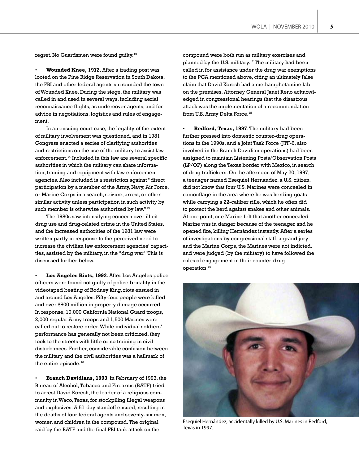regret. No Guardsmen were found guilty.<sup>13</sup>

• **Wounded Knee, 1972**. After a trading post was looted on the Pine Ridge Reservation in South Dakota, the FBI and other federal agents surrounded the town of Wounded Knee. During the siege, the military was called in and used in several ways, including aerial reconnaissance flights, as undercover agents, and for advice in negotiations, logistics and rules of engagement.

In an ensuing court case, the legality of the extent of military involvement was questioned, and in 1981 Congress enacted a series of clarifying authorities and restrictions on the use of the military to assist law enforcement.<sup>14</sup> Included in this law are several specific authorities in which the military can share information, training and equipment with law enforcement agencies. Also included is a restriction against "direct participation by a member of the Army, Navy, Air Force, or Marine Corps in a search, seizure, arrest, or other similar activity unless participation in such activity by such member is otherwise authorized by law."<sup>15</sup>

The 1980s saw intensifying concern over illicit drug use and drug-related crime in the United States, and the increased authorities of the 1981 law were written partly in response to the perceived need to increase the civilian law enforcement agencies' capacities, assisted by the military, in the "drug war." This is discussed further below.

• **Los Angeles Riots, 1992**. After Los Angeles police officers were found not guilty of police brutality in the videotaped beating of Rodney King, riots ensued in and around Los Angeles. Fifty-four people were killed and over \$800 million in property damage occurred. In response, 10,000 California National Guard troops, 2,000 regular Army troops and 1,500 Marines were called out to restore order. While individual soldiers' performance has generally not been criticized, they took to the streets with little or no training in civil disturbances. Further, considerable confusion between the military and the civil authorities was a hallmark of the entire episode.<sup>16</sup>

• **Branch Davidians, 1993**. In February of 1993, the Bureau of Alcohol, Tobacco and Firearms (BATF) tried to arrest David Koresh, the leader of a religious community in Waco, Texas, for stockpiling illegal weapons and explosives. A 51-day standoff ensued, resulting in the deaths of four federal agents and seventy-six men, women and children in the compound. The original raid by the BATF and the final FBI tank attack on the

compound were both run as military exercises and planned by the U.S. military.<sup>17</sup> The military had been called in for assistance under the drug war exemptions to the PCA mentioned above, citing an ultimately false claim that David Koresh had a methamphetamine lab on the premises. Attorney General Janet Reno acknowledged in congressional hearings that the disastrous attack was the implementation of a recommendation from U.S. Army Delta Force.<sup>18</sup>

• **Redford, Texas, 1997**. The military had been further pressed into domestic counter-drug operations in the 1990s, and a Joint Task Force (JTF-6, also involved in the Branch Davidian operations) had been assigned to maintain Listening Posts/Observation Posts (LP/OP) along the Texas border with Mexico, in search of drug traffickers. On the afternoon of May 20, 1997, a teenager named Esequiel Hernández, a U.S. citizen, did not know that four U.S. Marines were concealed in camouflage in the area where he was herding goats while carrying a 22-caliber rifle, which he often did to protect the herd against snakes and other animals. At one point, one Marine felt that another concealed Marine was in danger because of the teenager and he opened fire, killing Hernández instantly. After a series of investigations by congressional staff, a grand jury and the Marine Corps, the Marines were not indicted, and were judged (by the military) to have followed the rules of engagement in their counter-drug operation.19



Esequiel Hernández, accidentally killed by U.S. Marines in Redford, Texas in 1997.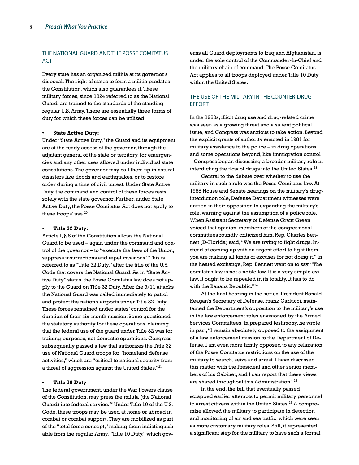### THE NATIONAL GUARD AND THE POSSE COMITATUS ACT

Every state has an organized militia at its governor's disposal. The right of states to form a militia predates the Constitution, which also guarantees it. These military forces, since 1824 referred to as the National Guard, are trained to the standards of the standing regular U.S. Army. There are essentially three forms of duty for which these forces can be utilized:

#### **• State Active Duty:**

Under "State Active Duty," the Guard and its equipment are at the ready access of the governor, through the adjutant general of the state or territory, for emergencies and any other uses allowed under individual state constitutions. The governor may call them up in natural disasters like floods and earthquakes, or to restore order during a time of civil unrest. Under State Active Duty, the command and control of these forces rests solely with the state governor. Further, under State Active Duty, the Posse Comitatus Act does not apply to these troops' use.<sup>20</sup>

### **• Title 32 Duty:**

Article I, § 8 of the Constitution allows the National Guard to be used – again under the command and control of the governor – to "execute the laws of the Union, suppress insurrections and repel invasions." This is referred to as "Title 32 Duty," after the title of the U.S. Code that covers the National Guard. As in "State Active Duty" status, the Posse Comitatus law does not apply to the Guard on Title 32 Duty. After the 9/11 attacks the National Guard was called immediately to patrol and protect the nation's airports under Title 32 Duty. These forces remained under states' control for the duration of their six-month mission. Some questioned the statutory authority for these operations, claiming that the federal use of the guard under Title 32 was for training purposes, not domestic operations. Congress subsequently passed a law that authorizes the Title 32 use of National Guard troops for "homeland defense activities," which are "critical to national security from a threat of aggression against the United States."21

#### **• Title 10 Duty**

The federal government, under the War Powers clause of the Constitution, may press the militia (the National Guard) into federal service.<sup>22</sup> Under Title 10 of the U.S. Code, these troops may be used at home or abroad in combat or combat support. They are mobilized as part of the "total force concept," making them indistinguishable from the regular Army. "Title 10 Duty," which governs all Guard deployments to Iraq and Afghanistan, is under the sole control of the Commander-In-Chief and the military chain of command. The Posse Comitatus Act applies to all troops deployed under Title 10 Duty within the United States.

### THE USE OF THE MILITARY IN THE COUNTER-DRUG EFFORT

In the 1980s, illicit drug use and drug-related crime was seen as a growing threat and a salient political issue, and Congress was anxious to take action. Beyond the explicit grants of authority enacted in 1981 for military assistance to the police – in drug operations and some operations beyond, like immigration control – Congress began discussing a broader military role in interdicting the flow of drugs into the United States.<sup>23</sup>

Central to the debate over whether to use the military in such a role was the Posse Comitatus law. At 1988 House and Senate hearings on the military's druginterdiction role, Defense Department witnesses were unified in their opposition to expanding the military's role, warning against the assumption of a police role. When Assistant Secretary of Defense Grant Green voiced that opinion, members of the congressional committees roundly criticized him. Rep. Charles Bennett (D-Florida) said, "We are trying to fight drugs. Instead of coming up with an urgent effort to fight them, you are making all kinds of excuses for not doing it." In the heated exchange, Rep. Bennett went on to say, "The comitatus law is not a noble law. It is a very simple evil law. It ought to be repealed in its totality. It has to do with the Banana Republic."<sup>24</sup>

At the final hearing in the series, President Ronald Reagan's Secretary of Defense, Frank Carlucci, maintained the Department's opposition to the military's use in the law enforcement roles envisioned by the Armed Services Committees. In prepared testimony, he wrote in part, "I remain absolutely opposed to the assignment of a law enforcement mission to the Department of Defense. I am even more firmly opposed to any relaxation of the Posse Comitatus restrictions on the use of the military to search, seize and arrest. I have discussed this matter with the President and other senior members of his Cabinet, and I can report that these views are shared throughout this Administration."25

In the end, the bill that eventually passed scrapped earlier attempts to permit military personnel to arrest citizens within the United States.<sup>26</sup> A compromise allowed the military to participate in detection and monitoring of air and sea traffic, which were seen as more customary military roles. Still, it represented a significant step for the military to have such a formal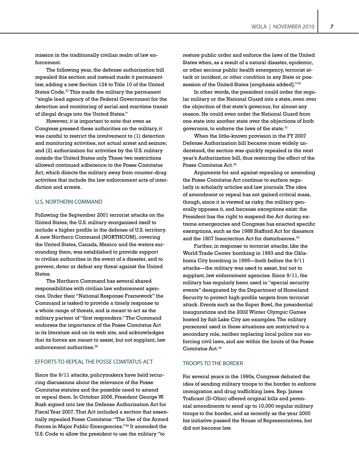mission in the traditionally civilian realm of law enforcement.

The following year, the defense authorization bill repealed this section and instead made it permanent law, adding a new Section 124 to Title 10 of the United States Code.<sup>27</sup> This made the military the permanent "single lead agency of the Federal Government for the detection and monitoring of aerial and maritime transit of illegal drugs into the United States."

However, it is important to note that even as Congress pressed these authorities on the military, it was careful to restrict the involvement to (1) detection and monitoring activities, not actual arrest and seizure; and (2) authorization for activities by the U.S. military outside the United States only. These two restrictions allowed continued adherence to the Posse Comitatus Act, which directs the military away from counter-drug activities that include the law enforcement acts of interdiction and arrests.

### U.S. NORTHERN COMMAND

Following the September 2001 terrorist attacks on the United States, the U.S. military reorganized itself to include a higher profile in the defense of U.S. territory. A new Northern Command (NORTHCOM), covering the United States, Canada, Mexico and the waters surrounding them, was established to provide support to civilian authorities in the event of a disaster, and to prevent, deter or defeat any threat against the United States.

The Northern Command has several shared responsibilities with civilian law enforcement agencies. Under their "National Response Framework" the Command is tasked to provide a timely response to a whole range of threats, and is meant to act as the military partner of "first responders." The Command endorses the importance of the Posse Comitatus Act in its literature and on its web site, and acknowledges that its forces are meant to assist, but not supplant, law enforcement authorities.<sup>28</sup>

### EFFORTS TO REPEAL THE POSSE COMITATUS ACT

Since the 9/11 attacks, policymakers have held recurring discussions about the relevance of the Posse Comitatus statutes and the possible need to amend or repeal them. In October 2006, President George W. Bush signed into law the Defense Authorization Act for Fiscal Year 2007. That Act included a section that essentially repealed Posse Comitatus: "The Use of the Armed Forces in Major Public Emergencies."29 It amended the U.S. Code to allow the president to use the military "to

restore public order and enforce the laws of the United States when, as a result of a natural disaster, epidemic, or other serious public health emergency, terrorist attack or incident, *or other condition* in any State or possession of the United States [emphasis added]."30

In other words, the president could order the regular military or the National Guard into a state, even over the objection of that state's governor, for almost any reason. He could even order the National Guard from one state into another state over the objections of both governors, to enforce the laws of the state.<sup>31</sup>

When the little-known provision in the FY 2007 Defense Authorization bill became more widely understood, the section was quickly repealed in the next year's Authorization bill, thus restoring the effect of the Posse Comitatus Act.<sup>32</sup>

Arguments for and against repealing or amending the Posse Comitatus Act continue to surface regularly in scholarly articles and law journals. The idea of amendment or repeal has not gained critical mass, though, since it is viewed as risky, the military generally opposes it, and because exceptions exist: the President has the right to suspend the Act during extreme emergencies and Congress has enacted specific exemptions, such as the 1988 Stafford Act for disasters and the 1807 Insurrection Act for disturbances.<sup>33</sup>

Further, in response to terrorist attacks, like the World Trade Center bombing in 1993 and the Oklahoma City bombing in 1995—both before the 9/11 attacks—the military was used to assist, but not to supplant, law enforcement agencies. Since 9/11, the military has regularly been used in "special security events" designated by the Department of Homeland Security to protect high-profile targets from terrorist attack. Events such as the Super Bowl, the presidential inaugurations and the 2002 Winter Olympic Games hosted by Salt Lake City are examples. The military personnel used in these situations are restricted to a secondary role, neither replacing local police nor enforcing civil laws, and are within the limits of the Posse Comitatus Act.34

### TROOPS TO THE BORDER

For several years in the 1990s, Congress debated the idea of sending military troops to the border to enforce immigration and drug trafficking laws. Rep. James Traficant (D-Ohio) offered original bills and perennial amendments to send up to 10,000 regular military troops to the border, and as recently as the year 2000 his initiative passed the House of Representatives, but did not become law.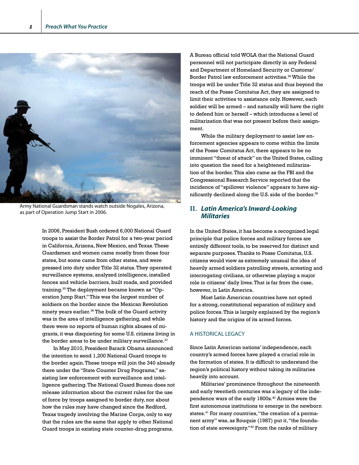

Army National Guardsman stands watch outside Nogales, Arizona, as part of Operation Jump Start in 2006.

In 2006, President Bush ordered 6,000 National Guard troops to assist the Border Patrol for a two-year period in California, Arizona, New Mexico, and Texas. These Guardsmen and women came mostly from those four states, but some came from other states, and were pressed into duty under Title 32 status. They operated surveillance systems, analyzed intelligence, installed fences and vehicle barriers, built roads, and provided training.35 The deployment became known as "Operation Jump Start." This was the largest number of soldiers on the border since the Mexican Revolution ninety years earlier.<sup>36</sup> The bulk of the Guard activity was in the area of intelligence gathering, and while there were no reports of human rights abuses of migrants, it was disquieting for some U.S. citizens living in the border areas to be under military surveillance. $37$ 

In May 2010, President Barack Obama announced the intention to send 1,200 National Guard troops to the border again. These troops will join the 340 already there under the "State Counter Drug Programs," assisting law enforcement with surveillance and intelligence gathering. The National Guard Bureau does not release information about the current rules for the use of force by troops assigned to border duty, nor about how the rules may have changed since the Redford, Texas tragedy involving the Marine Corps, only to say that the rules are the same that apply to other National Guard troops in existing state counter-drug programs.

A Bureau official told WOLA that the National Guard personnel will not participate directly in any Federal and Department of Homeland Security or Customs/ Border Patrol law enforcement activities.<sup>38</sup> While the troops will be under Title 32 status and thus beyond the reach of the Posse Comitatus Act, they are assigned to limit their activities to assistance only. However, each soldier will be armed – and naturally will have the right to defend him or herself – which introduces a level of militarization that was not present before their assignment.

While the military deployment to assist law enforcement agencies appears to come within the limits of the Posse Comitatus Act, there appears to be no imminent "threat of attack" on the United States, calling into question the need for a heightened militarization of the border. This also came as the FBI and the Congressional Research Service reported that the incidence of "spillover violence" appears to have significantly declined along the U.S. side of the border.<sup>39</sup>

# **II.** *Latin America's Inward-Looking Militaries*

In the United States, it has become a recognized legal principle that police forces and military forces are entirely different tools, to be reserved for distinct and separate purposes. Thanks to Posse Comitatus, U.S. citizens would view as extremely unusual the idea of heavily armed soldiers patrolling streets, arresting and interrogating civilians, or otherwise playing a major role in citizens' daily lives. That is far from the case, however, in Latin America.

Most Latin American countries have not opted for a strong, constitutional separation of military and police forces. This is largely explained by the region's history and the origins of its armed forces.

### A HISTORICAL LEGACY

Since Latin American nations' independence, each country's armed forces have played a crucial role in the formation of states. It is difficult to understand the region's political history without taking its militaries heavily into account.

Militaries' prominence throughout the nineteenth and early twentieth centuries was a legacy of the independence wars of the early 1800s.<sup>40</sup> Armies were the first autonomous institutions to emerge in the newborn states.<sup>41</sup> For many countries, "the creation of a permanent army" was, as Rouquie (1987) put it, "the foundation of state sovereignty."42 From the ranks of military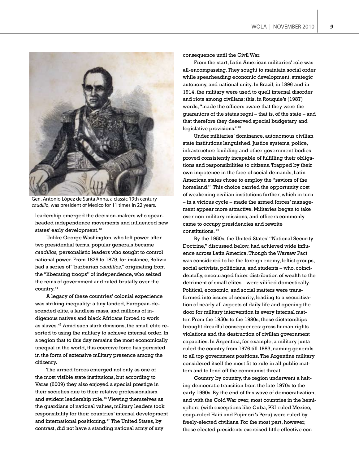

Gen. Antonio López de Santa Anna, a classic 19th century *caudillo*, was president of Mexico for 11 times in 22 years.

leadership emerged the decision-makers who spearheaded independence movements and influenced new states' early development.<sup>43</sup>

Unlike George Washington, who left power after two presidential terms, popular generals became *caudillos,* personalistic leaders who sought to control national power. From 1825 to 1879, for instance, Bolivia had a series of "barbarian *caudillos*," originating from the "liberating troops" of independence, who seized the reins of government and ruled brutally over the country.44

A legacy of these countries' colonial experience was striking inequality: a tiny landed, European-descended elite, a landless mass, and millions of indigenous natives and black Africans forced to work as slaves.45 Amid such stark divisions, the small elite resorted to using the military to achieve internal order. In a region that to this day remains the most economically unequal in the world, this coercive force has persisted in the form of extensive military presence among the citizenry.

The armed forces emerged not only as one of the most visible state institutions, but according to Varas (2009) they also enjoyed a special prestige in their societies due to their relative professionalism and evident leadership role.46 Viewing themselves as the guardians of national values, military leaders took responsibility for their countries' internal development and international positioning.47 The United States, by contrast, did not have a standing national army of any

consequence until the Civil War.

From the start, Latin American militaries' role was all-encompassing. They sought to maintain social order while spearheading economic development, strategic autonomy, and national unity. In Brazil, in 1896 and in 1914, the military were used to quell internal disorder and riots among civilians; this, in Rouquie's (1987) words, "made the officers aware that they were the guarantors of the status regni – that is, of the state – and that therefore they deserved special budgetary and legislative provisions."48

Under militaries' dominance, autonomous civilian state institutions languished. Justice systems, police, infrastructure-building and other government bodies proved consistently incapable of fulfilling their obligations and responsibilities to citizens. Trapped by their own impotence in the face of social demands, Latin American states chose to employ the "saviors of the homeland." This choice carried the opportunity cost of weakening civilian institutions further, which in turn – in a vicious cycle – made the armed forces' management appear more attractive. Militaries began to take over non-military missions, and officers commonly came to occupy presidencies and rewrite constitutions. 49

By the 1950s, the United States' "National Security Doctrine," discussed below, had achieved wide influence across Latin America. Though the Warsaw Pact was considered to be the foreign enemy, leftist groups, social activists, politicians, and students – who, coincidentally, encouraged fairer distribution of wealth to the detriment of small elites – were vilified domestically. Political, economic, and social matters were transformed into issues of security, leading to a securitization of nearly all aspects of daily life and opening the door for military intervention in every internal matter. From the 1950s to the 1980s, these dictatorships brought dreadful consequences: gross human rights violations and the destruction of civilian government capacities. In Argentina, for example, a military junta ruled the country from 1976 till 1983, naming generals to all top government positions. The Argentine military considered itself the most fit to rule in all public matters and to fend off the communist threat.

Country by country, the region underwent a halting democratic transition from the late 1970s to the early 1990s. By the end of this wave of democratization, and with the Cold War over, most countries in the hemisphere (with exceptions like Cuba, PRI-ruled Mexico, coup-ruled Haiti and Fujimori's Peru) were ruled by freely-elected civilians. For the most part, however, these elected presidents exercised little effective con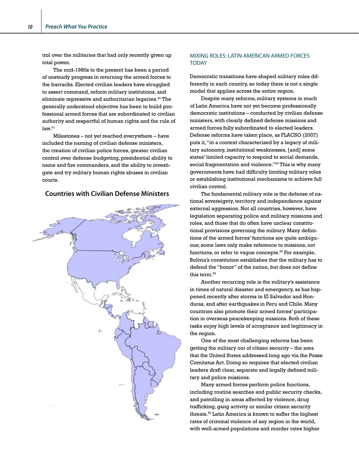trol over the militaries that had only recently given up total power.

The mid-1980s to the present has been a period of unsteady progress in returning the armed forces to the barracks. Elected civilian leaders have struggled to assert command, reform military institutions, and eliminate repressive and authoritarian legacies.50 The generally understood objective has been to build professional armed forces that are subordinated to civilian authority and respectful of human rights and the rule of  $law.<sup>51</sup>$ 

Milestones – not yet reached everywhere – have included the naming of civilian defense ministers, the creation of civilian police forces, greater civilian control over defense budgeting, presidential ability to name and fire commanders, and the ability to investigate and try military human rights abuses in civilian courts.

### **Countries with Civilian Defense Ministers**



### MIXING ROLES: LATIN AMERICAN ARMED FORCES TODAY

Democratic transitions have shaped military roles differently in each country, so today there is not a single model that applies across the entire region.

Despite many reforms, military systems in much of Latin America have not yet become professionally democratic institutions – conducted by civilian defense ministers, with clearly defined defense missions and armed forces fully subordinated to elected leaders. Defense reforms have taken place, as FLACSO (2007) puts it, "in a context characterized by a legacy of military autonomy, institutional weaknesses, [and] some states' limited capacity to respond to social demands, social fragmentation and violence."<sup>52</sup> This is why many governments have had difficulty limiting military roles or establishing institutional mechanisms to achieve full civilian control.

The fundamental military role is the defense of national sovereignty, territory and independence against external aggression. Not all countries, however, have legislation separating police and military missions and roles, and those that do often have unclear constitutional provisions governing the military. Many definitions of the armed forces' functions are quite ambiguous; some laws only make reference to missions, not functions, or refer to vague concepts. $53$  For example, Bolivia's constitution establishes that the military has to defend the "honor" of the nation, but does not define this term.<sup>54</sup>

Another recurring role is the military's assistance in times of natural disaster and emergency, as has happened recently after storms in El Salvador and Honduras, and after earthquakes in Peru and Chile. Many countries also promote their armed forces' participation in overseas peacekeeping missions. Both of these tasks enjoy high levels of acceptance and legitimacy in the region.

One of the most challenging reforms has been getting the military out of citizen security – the area that the United States addressed long ago via the Posse Comitatus Act. Doing so requires that elected civilian leaders draft clear, separate and legally defined military and police missions.

Many armed forces perform police functions, including routine searches and public security checks, and patrolling in areas affected by violence, drug trafficking, gang activity or similar citizen security threats.55 Latin America is known to suffer the highest rates of criminal violence of any region in the world, with well-armed populations and murder rates higher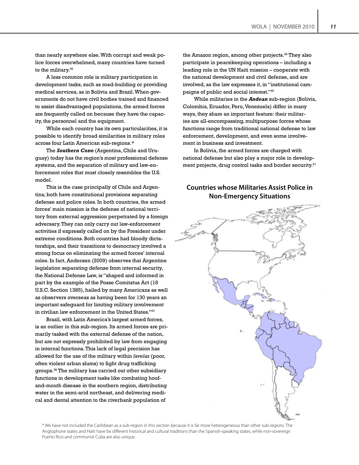than nearly anywhere else. With corrupt and weak police forces overwhelmed, many countries have turned to the military.<sup>56</sup>

A less common role is military participation in development tasks, such as road-building or providing medical services, as in Bolivia and Brazil. When governments do not have civil bodies trained and financed to assist disadvantaged populations, the armed forces are frequently called on because they have the capacity, the personnel and the equipment.

While each country has its own particularities, it is possible to identify broad similarities in military roles across four Latin American sub-regions.\*

The *Southern Cone* (Argentina, Chile and Uruguay) today has the region's most professional defense systems, and the separation of military and law-enforcement roles that most closely resembles the U.S. model.

This is the case principally of Chile and Argentina; both have constitutional provisions separating defense and police roles. In both countries, the armed forces' main mission is the defense of national territory from external aggression perpetrated by a foreign adversary. They can only carry out law-enforcement activities if expressly called on by the President under extreme conditions. Both countries had bloody dictatorships, and their transitions to democracy involved a strong focus on eliminating the armed forces' internal roles. In fact, Andersen (2009) observes that Argentine legislation separating defense from internal security, the National Defense Law, is "shaped and informed in part by the example of the Posse Comitatus Act (18 U.S.C. Section 1385), hailed by many Americans as well as observers overseas as having been for 130 years an important safeguard for limiting military involvement in civilian law enforcement in the United States."57

Brazil, with Latin America's largest armed forces, is an outlier in this sub-region. Its armed forces are primarily tasked with the external defense of the nation, but are not expressly prohibited by law from engaging in internal functions. This lack of legal precision has allowed for the use of the military within *favelas* (poor, often violent urban slums) to fight drug trafficking groups.58 The military has carried out other subsidiary functions in development tasks like combating hoofand-mouth disease in the southern region, distributing water in the semi-arid northeast, and delivering medical and dental attention to the riverbank population of

the Amazon region, among other projects.<sup>59</sup> They also participate in peacekeeping operations – including a leading role in the UN Haiti mission – cooperate with the national development and civil defense, and are involved, as the law expresses it, in "institutional campaigns of public and social interest."60

While militaries in the *Andean* sub-region (Bolivia, Colombia, Ecuador, Peru, Venezuela) differ in many ways, they share an important feature: their militaries are all-encompassing, multipurpose forces whose functions range from traditional national defense to law enforcement, development, and even some involvement in business and investment.

In Bolivia, the armed forces are charged with national defense but also play a major role in development projects, drug control tasks and border security.<sup>61</sup>

# **Countries whose Militaries Assist Police in Non-Emergency Situations**



\* We have not included the Caribbean as a sub-region in this section because it is far more heterogeneous than other sub-regions. The Anglophone states and Haiti have far different historical and cultural traditions than the Spanish-speaking states, while non-sovereign Puerto Rico and communist Cuba are also unique.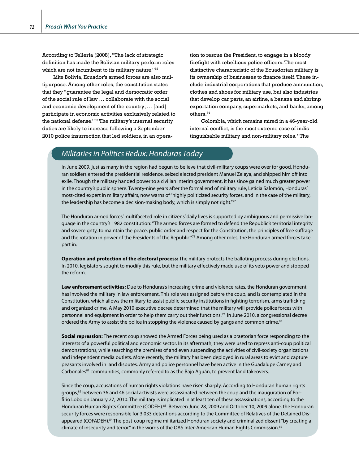According to Tellería (2008), "The lack of strategic definition has made the Bolivian military perform roles which are not incumbent to its military nature."<sup>62</sup>

Like Bolivia, Ecuador's armed forces are also multipurpose. Among other roles, the constitution states that they "guarantee the legal and democratic order of the social rule of law … collaborate with the social and economic development of the country; … [and] participate in economic activities exclusively related to the national defense."63 The military's internal security duties are likely to increase following a September 2010 police insurrection that led soldiers, in an operation to rescue the President, to engage in a bloody firefight with rebellious police officers. The most distinctive characteristic of the Ecuadorian military is its ownership of businesses to finance itself. These include industrial corporations that produce ammunition, clothes and shoes for military use, but also industries that develop car parts, an airline, a banana and shrimp exportation company, supermarkets, and banks, among others.<sup>64</sup>

Colombia, which remains mired in a 46-year-old internal conflict, is the most extreme case of indistinguishable military and non-military roles. "The

# *Militaries in Politics Redux: Honduras Today*

In June 2009, just as many in the region had begun to believe that civil-military coups were over for good, Honduran soldiers entered the presidential residence, seized elected president Manuel Zelaya, and shipped him off into exile. Though the military handed power to a civilian interim government, it has since gained much greater power in the country's public sphere. Twenty-nine years after the formal end of military rule, Leticia Salomón, Honduras' most-cited expert in military affairs, now warns of "highly politicized security forces, and in the case of the military, the leadership has become a decision-making body, which is simply not right."77

The Honduran armed forces' multifaceted role in citizens' daily lives is supported by ambiguous and permissive language in the country's 1982 constitution: "The armed forces are formed to defend the Republic's territorial integrity and sovereignty, to maintain the peace, public order and respect for the Constitution, the principles of free suffrage and the rotation in power of the Presidents of the Republic."78 Among other roles, the Honduran armed forces take part in:

**Operation and protection of the electoral process:** The military protects the balloting process during elections. In 2010, legislators sought to modify this rule, but the military effectively made use of its veto power and stopped the reform.

**Law enforcement activities:** Due to Honduras's increasing crime and violence rates, the Honduran government has involved the military in law enforcement. This role was assigned before the coup, and is contemplated in the Constitution, which allows the military to assist public-security institutions in fighting terrorism, arms trafficking and organized crime. A May 2010 executive decree determined that the military will provide police forces with personnel and equipment in order to help them carry out their functions.79 In June 2010, a congressional decree ordered the Army to assist the police in stopping the violence caused by gangs and common crime.<sup>80</sup>

**Social repression:** The recent coup showed the Armed Forces being used as a praetorian force responding to the interests of a powerful political and economic sector. In its aftermath, they were used to repress anti-coup political demonstrations, while searching the premises of and even suspending the activities of civil-society organizations and independent media outlets. More recently, the military has been deployed in rural areas to evict and capture peasants involved in land disputes. Army and police personnel have been active in the Guadalupe Carney and Carbonales<sup>81</sup> communities, commonly referred to as the Bajo Aguán, to prevent land takeovers.

Since the coup, accusations of human rights violations have risen sharply. According to Honduran human rights groups,<sup>82</sup> between 36 and 46 social activists were assassinated between the coup and the inauguration of Porfirio Lobo on January 27, 2010. The military is implicated in at least ten of these assassinations, according to the Honduran Human Rights Committee (CODEH).<sup>83</sup> Between June 28, 2009 and October 10, 2009 alone, the Honduran security forces were responsible for 3,033 detentions according to the Committee of Relatives of the Detained Disappeared (COFADEH).<sup>84</sup> The post-coup regime militarized Honduran society and criminalized dissent "by creating a climate of insecurity and terror," in the words of the OAS Inter-American Human Rights Commission.<sup>85</sup>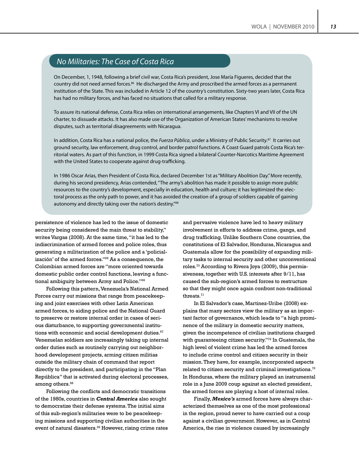# *No Militaries: The Case of Costa Rica*

On December, 1, 1948, following a brief civil war, Costa Rica's president, Jose María Figueres, decided that the country did not need armed forces.<sup>86</sup> He discharged the Army and proscribed the armed forces as a permanent institution of the State. This was included in Article 12 of the country's constitution. Sixty-two years later, Costa Rica has had no military forces, and has faced no situations that called for a military response.

To assure its national defense, Costa Rica relies on international arrangements, like Chapters VI and VII of the UN charter, to dissuade attacks. It has also made use of the Organization of American States' mechanisms to resolve disputes, such as territorial disagreements with Nicaragua.

In addition, Costa Rica has a national police, the *Fuerza Pública*, under a Ministry of Public Security.87 It carries out ground security, law enforcement, drug control, and border patrol functions. A Coast Guard patrols Costa Rica's territorial waters. As part of this function, in 1999 Costa Rica signed a bilateral Counter-Narcotics Maritime Agreement with the United States to cooperate against drug-trafficking.

In 1986 Oscar Arias, then President of Costa Rica, declared December 1st as "Military Abolition Day." More recently, during his second presidency, Arias contended, "The army's abolition has made it possible to assign more public resources to the country's development, especially in education, health and culture; it has legitimized the electoral process as the only path to power, and it has avoided the creation of a group of soldiers capable of gaining autonomy and directly taking over the nation's destiny."<sup>88</sup>

persistence of violence has led to the issue of domestic security being considered the main threat to stability," writes Vargas (2008). At the same time, "it has led to the indiscrimination of armed forces and police roles, thus generating a militarization of the police and a 'policialización' of the armed forces."65 As a consequence, the Colombian armed forces are "more oriented towards domestic public order control functions, leaving a functional ambiguity between Army and Police."66

Following this pattern, Venezuela's National Armed Forces carry out missions that range from peacekeeping and joint exercises with other Latin American armed forces, to aiding police and the National Guard to preserve or restore internal order in cases of serious disturbance, to supporting governmental institutions with economic and social development duties.<sup>67</sup> Venezuelan soldiers are increasingly taking up internal order duties such as routinely carrying out neighborhood development projects, arming citizen militias outside the military chain of command that report directly to the president, and participating in the "Plan República" that is activated during electoral processes, among others.<sup>68</sup>

Following the conflicts and democratic transitions of the 1980s, countries in *Central America* also sought to democratize their defense systems. The initial aims of this sub-region's militaries were to be peacekeeping missions and supporting civilian authorities in the event of natural disasters.<sup>69</sup> However, rising crime rates and pervasive violence have led to heavy military involvement in efforts to address crime, gangs, and drug trafficking. Unlike Southern Cone countries, the constitutions of El Salvador, Honduras, Nicaragua and Guatemala allow for the possibility of expanding military tasks to internal security and other unconventional roles.<sup>70</sup> According to Rivera Joya (2009), this permissiveness, together with U.S. interests after 9/11, has caused the sub-region's armed forces to restructure so that they might once again confront non-traditional threats.<sup>71</sup>

In El Salvador's case, Martinez-Uribe (2008) explains that many sectors view the military as an important factor of governance, which leads to "a high prominence of the military in domestic security matters, given the incompetence of civilian institutions charged with quaranteeing citizen security."<sup>72</sup> In Guatemala, the high level of violent crime has led the armed forces to include crime control and citizen security in their mission. They have, for example, incorporated aspects related to citizen security and criminal investigations.<sup>73</sup> In Honduras, where the military played an instrumental role in a June 2009 coup against an elected president, the armed forces are playing a host of internal roles.

Finally, *Mexico's* armed forces have always characterized themselves as one of the most professional in the region, proud never to have carried out a coup against a civilian government. However, as in Central America, the rise in violence caused by increasingly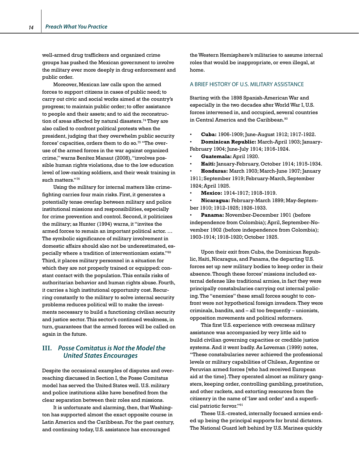well-armed drug traffickers and organized crime groups has pushed the Mexican government to involve the military ever more deeply in drug enforcement and public order.

Moreover, Mexican law calls upon the armed forces to support citizens in cases of public need; to carry out civic and social works aimed at the country's progress; to maintain public order; to offer assistance to people and their assets; and to aid the reconstruction of areas affected by natural disasters.<sup> $74$ </sup> They are also called to confront political protests when the president, judging that they overwhelm public security forces' capacities, orders them to do so.<sup>75</sup> "The overuse of the armed forces in the war against organized crime," warns Benítez Manaut (2008), "involves possible human rights violations, due to the low education level of low-ranking soldiers, and their weak training in such matters."<sup>76</sup>

Using the military for internal matters like crimefighting carries four main risks. First, it generates a potentially tense overlap between military and police institutional missions and responsibilities, especially for crime prevention and control. Second, it politicizes the military; as Hunter (1994) warns, it "invites the armed forces to remain an important political actor. … The symbolic significance of military involvement in domestic affairs should also not be underestimated, especially where a tradition of interventionism exists."89 Third, it places military personnel in a situation for which they are not properly trained or equipped: constant contact with the population. This entails risks of authoritarian behavior and human rights abuse. Fourth, it carries a high institutional opportunity cost. Recurring constantly to the military to solve internal security problems reduces political will to make the investments necessary to build a functioning civilian security and justice sector. This sector's continued weakness, in turn, guarantees that the armed forces will be called on again in the future.

# **III.** *Posse Comitatus is Not the Model the United States Encourages*

Despite the occasional examples of disputes and overreaching discussed in Section I, the Posse Comitatus model has served the United States well. U.S. military and police institutions alike have benefited from the clear separation between their roles and missions.

It is unfortunate and alarming, then, that Washington has supported almost the exact opposite course in Latin America and the Caribbean. For the past century, and continuing today, U.S. assistance has encouraged

the Western Hemisphere's militaries to assume internal roles that would be inappropriate, or even illegal, at home.

### A BRIEF HISTORY OF U.S. MILITARY ASSISTANCE

Starting with the 1898 Spanish-American War and especially in the two decades after World War I, U.S. forces intervened in, and occupied, several countries in Central America and the Caribbean.<sup>90</sup>

• **Cuba:** 1906-1909; June-August 1912; 1917-1922.

• **Dominican Republic:** March-April 1903; January-February 1904; June-July 1914; 1916-1924.

• **Guatemala:** April 1920.

• **Haiti:** January-February, October 1914; 1915-1934.

• **Honduras:** March 1903; March-June 1907; January 1911; September 1919; February-March, September 1924; April 1925.

• **Mexico:** 1914-1917; 1918-1919.

• **Nicaragua:** February-March 1899; May-September 1910; 1912-1925; 1926-1933.

• **Panama:** November-December 1901 (before independence from Colombia); April, September-November 1902 (before independence from Colombia); 1903-1914; 1918-1920; October 1925.

Upon their exit from Cuba, the Dominican Republic, Haiti, Nicaragua, and Panama, the departing U.S. forces set up new military bodies to keep order in their absence. Though these forces' missions included external defense like traditional armies, in fact they were principally constabularies carrying out internal policing. The "enemies" these small forces sought to confront were not hypothetical foreign invaders. They were criminals, bandits, and – all too frequently – unionists, opposition movements and political reformers.

This first U.S. experience with overseas military assistance was accompanied by very little aid to build civilian governing capacities or credible justice systems. And it went badly. As Loveman (1999) notes, "These constabularies never achieved the professional levels or military capabilities of Chilean, Argentine or Peruvian armed forces [who had received European aid at the time]. They operated almost as military gangsters, keeping order, controlling gambling, prostitution, and other rackets, and extorting resources from the citizenry in the name of 'law and order' and a superficial patriotic fervor."91

These U.S.-created, internally focused armies ended up being the principal supports for brutal dictators. The National Guard left behind by U.S. Marines quickly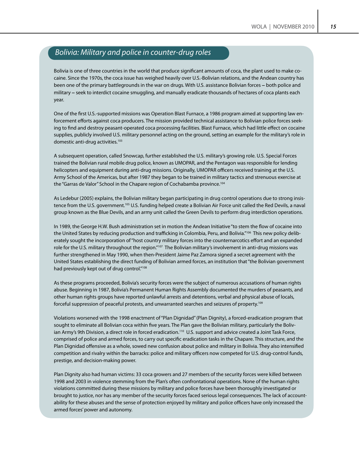# *Bolivia: Military and police in counter-drug roles*

Bolivia is one of three countries in the world that produce significant amounts of coca, the plant used to make cocaine. Since the 1970s, the coca issue has weighed heavily over U.S.-Bolivian relations, and the Andean country has been one of the primary battlegrounds in the war on drugs. With U.S. assistance Bolivian forces – both police and military – seek to interdict cocaine smuggling, and manually eradicate thousands of hectares of coca plants each year.

One of the first U.S.-supported missions was Operation Blast Furnace, a 1986 program aimed at supporting law enforcement efforts against coca producers. The mission provided technical assistance to Bolivian police forces seeking to find and destroy peasant-operated coca processing facilities. Blast Furnace, which had little effect on cocaine supplies, publicly involved U.S. military personnel acting on the ground, setting an example for the military's role in domestic anti-drug activities.<sup>103</sup>

A subsequent operation, called Snowcap, further established the U.S. military's growing role. U.S. Special Forces trained the Bolivian rural mobile drug police, known as UMOPAR, and the Pentagon was responsible for lending helicopters and equipment during anti-drug missions. Originally, UMOPAR officers received training at the U.S. Army School of the Americas, but after 1987 they began to be trained in military tactics and strenuous exercise at the "Garras de Valor" School in the Chapare region of Cochabamba province.<sup>104</sup>

As Ledebur (2005) explains, the Bolivian military began participating in drug control operations due to strong insistence from the U.S. government.105 U.S. funding helped create a Bolivian Air Force unit called the Red Devils, a naval group known as the Blue Devils, and an army unit called the Green Devils to perform drug interdiction operations.

In 1989, the George H.W. Bush administration set in motion the Andean Initiative "to stem the flow of cocaine into the United States by reducing production and trafficking in Colombia, Peru, and Bolivia."106 This new policy deliberately sought the incorporation of "host country military forces into the counternarcotics effort and an expanded role for the U.S. military throughout the region."<sup>107</sup> The Bolivian military's involvement in anti-drug missions was further strengthened in May 1990, when then-President Jaime Paz Zamora signed a secret agreement with the United States establishing the direct funding of Bolivian armed forces, an institution that "the Bolivian government had previously kept out of drug control."<sup>108</sup>

As these programs proceeded, Bolivia's security forces were the subject of numerous accusations of human rights abuse. Beginning in 1987, Bolivia's Permanent Human Rights Assembly documented the murders of peasants, and other human rights groups have reported unlawful arrests and detentions, verbal and physical abuse of locals, forceful suppression of peaceful protests, and unwarranted searches and seizures of property.109

Violations worsened with the 1998 enactment of "Plan Dignidad" (Plan Dignity), a forced-eradication program that sought to eliminate all Bolivian coca within five years. The Plan gave the Bolivian military, particularly the Bolivian Army's 9th Division, a direct role in forced eradication.<sup>110</sup> U.S. support and advice created a Joint Task Force, comprised of police and armed forces, to carry out specific eradication tasks in the Chapare. This structure, and the Plan Dignidad offensive as a whole, sowed new confusion about police and military in Bolivia. They also intensified competition and rivalry within the barracks: police and military officers now competed for U.S. drug-control funds, prestige, and decision-making power.

Plan Dignity also had human victims: 33 coca growers and 27 members of the security forces were killed between 1998 and 2003 in violence stemming from the Plan's often confrontational operations. None of the human rights violations committed during these missions by military and police forces have been thoroughly investigated or brought to justice, nor has any member of the security forces faced serious legal consequences. The lack of accountability for these abuses and the sense of protection enjoyed by military and police officers have only increased the armed forces' power and autonomy.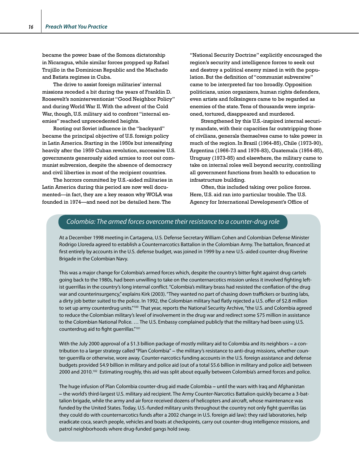became the power base of the Somoza dictatorship in Nicaragua, while similar forces propped up Rafael Trujillo in the Dominican Republic and the Machado and Batista regimes in Cuba.

The drive to assist foreign militaries' internal missions receded a bit during the years of Franklin D. Roosevelt's noninterventionist "Good Neighbor Policy" and during World War II. With the advent of the Cold War, though, U.S. military aid to confront "internal enemies" reached unprecedented heights.

Rooting out Soviet influence in the "backyard" became the principal objective of U.S. foreign policy in Latin America. Starting in the 1950s but intensifying heavily after the 1959 Cuban revolution, successive U.S. governments generously aided armies to root out communist subversion, despite the absence of democracy and civil liberties in most of the recipient countries.

The horrors committed by U.S.-aided militaries in Latin America during this period are now well documented—in fact, they are a key reason why WOLA was founded in 1974—and need not be detailed here. The

"National Security Doctrine" explicitly encouraged the region's security and intelligence forces to seek out and destroy a political enemy mixed in with the population. But the definition of "communist subversive" came to be interpreted far too broadly. Opposition politicians, union organizers, human rights defenders, even artists and folksingers came to be regarded as enemies of the state. Tens of thousands were imprisoned, tortured, disappeared and murdered.

Strengthened by this U.S.-inspired internal security mandate, with their capacities far outstripping those of civilians, generals themselves came to take power in much of the region. In Brazil (1964-85), Chile (1973-90), Argentina (1966-73 and 1976-83), Guatemala (1954-85), Uruguay (1973-85) and elsewhere, the military came to take on internal roles well beyond security, controlling all government functions from health to education to infrastructure building.

Often, this included taking over police forces. Here, U.S. aid ran into particular trouble. The U.S. Agency for International Development's Office of

### *Colombia: The armed forces overcome their resistance to a counter-drug role*

At a December 1998 meeting in Cartagena, U.S. Defense Secretary William Cohen and Colombian Defense Minister Rodrigo Lloreda agreed to establish a Counternarcotics Battalion in the Colombian Army. The battalion, financed at first entirely by accounts in the U.S. defense budget, was joined in 1999 by a new U.S.-aided counter-drug Riverine Brigade in the Colombian Navy.

This was a major change for Colombia's armed forces which, despite the country's bitter fight against drug cartels going back to the 1980s, had been unwilling to take on the counternarcotics mission unless it involved fighting leftist guerrillas in the country's long internal conflict. "Colombia's military brass had resisted the conflation of the drug war and counterinsurgency," explains Kirk (2003). "They wanted no part of chasing down traffickers or busting labs, a dirty job better suited to the police. In 1992, the Colombian military had flatly rejected a U.S. offer of \$2.8 million to set up army counterdrug units."<sup>100</sup> That year, reports the National Security Archive, "the U.S. and Colombia agreed to reduce the Colombian military's level of involvement in the drug war and redirect some \$75 million in assistance to the Colombian National Police. … The U.S. Embassy complained publicly that the military had been using U.S. counterdrug aid to fight guerrillas."101

With the July 2000 approval of a \$1.3 billion package of mostly military aid to Colombia and its neighbors – a contribution to a larger strategy called "Plan Colombia" – the military's resistance to anti-drug missions, whether counter-guerrilla or otherwise, wore away. Counter-narcotics funding accounts in the U.S. foreign assistance and defense budgets provided \$4.9 billion in military and police aid (out of a total \$5.6 billion in military and police aid) between 2000 and 2010.102 Estimating roughly, this aid was split about equally between Colombia's armed forces and police.

The huge infusion of Plan Colombia counter-drug aid made Colombia – until the wars with Iraq and Afghanistan – the world's third-largest U.S. military aid recipient. The Army Counter-Narcotics Battalion quickly became a 3-battalion brigade, while the army and air force received dozens of helicopters and aircraft, whose maintenance was funded by the United States. Today, U.S.-funded military units throughout the country not only fight guerrillas (as they could do with counternarcotics funds after a 2002 change in U.S. foreign aid law): they raid laboratories, help eradicate coca, search people, vehicles and boats at checkpoints, carry out counter-drug intelligence missions, and patrol neighborhoods where drug-funded gangs hold sway.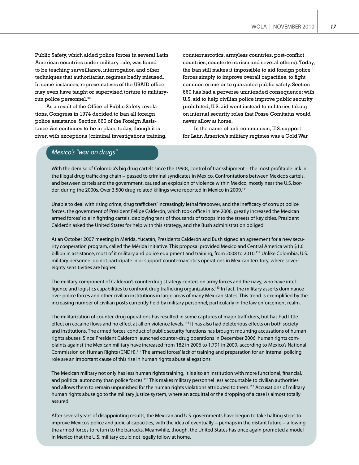Public Safety, which aided police forces in several Latin American countries under military rule, was found to be teaching surveillance, interrogation and other techniques that authoritarian regimes badly misused. In some instances, representatives of the USAID office may even have taught or supervised torture to militaryrun police personnel.<sup>92</sup>

As a result of the Office of Public Safety revelations, Congress in 1974 decided to ban all foreign police assistance. Section 660 of the Foreign Assistance Act continues to be in place today, though it is riven with exceptions (criminal investigations training, counternarcotics, armyless countries, post-conflict countries, counterterrorism and several others). Today, the ban still makes it impossible to aid foreign police forces simply to improve overall capacities, to fight common crime or to guarantee public safety. Section 660 has had a perverse unintended consequence: with U.S. aid to help civilian police improve public security prohibited, U.S. aid went instead to militaries taking on internal security roles that Posse Comitatus would never allow at home.

In the name of anti-communism, U.S. support for Latin America's military regimes was a Cold War

### *Mexico's "war on drugs"*

With the demise of Colombia's big drug cartels since the 1990s, control of transshipment – the most profitable link in the illegal drug trafficking chain – passed to criminal syndicates in Mexico. Confrontations between Mexico's cartels, and between cartels and the government, caused an explosion of violence within Mexico, mostly near the U.S. border, during the 2000s. Over 3,500 drug-related killings were reported in Mexico in 2009.<sup>111</sup>

Unable to deal with rising crime, drug traffickers' increasingly lethal firepower, and the inefficacy of corrupt police forces, the government of President Felipe Calderón, which took office in late 2006, greatly increased the Mexican armed forces' role in fighting cartels, deploying tens of thousands of troops into the streets of key cities. President Calderón asked the United States for help with this strategy, and the Bush administration obliged.

At an October 2007 meeting in Mérida, Yucatán, Presidents Calderón and Bush signed an agreement for a new security cooperation program, called the Mérida Initiative. This proposal provided Mexico and Central America with \$1.6 billion in assistance, most of it military and police equipment and training, from 2008 to 2010.<sup>112</sup> Unlike Colombia, U.S. military personnel do not participate in or support counternarcotics operations in Mexican territory, where sovereignty sensitivities are higher.

The military component of Calderon's counterdrug strategy centers on army forces and the navy, who have intelligence and logistics capabilities to confront drug trafficking organizations.<sup>113</sup> In fact, the military asserts dominance over police forces and other civilian institutions in large areas of many Mexican states. This trend is exemplified by the increasing number of civilian posts currently held by military personnel, particularly in the law enforcement realm.

The militarization of counter-drug operations has resulted in some captures of major traffickers, but has had little effect on cocaine flows and no effect at all on violence levels.<sup>114</sup> It has also had deleterious effects on both society and institutions. The armed forces' conduct of public security functions has brought mounting accusations of human rights abuses. Since President Calderon launched counter-drug operations in December 2006, human rights complaints against the Mexican military have increased from 182 in 2006 to 1,791 in 2009, according to Mexico's National Commission on Human Rights (CNDH).115 The armed forces' lack of training and preparation for an internal policing role are an important cause of this rise in human rights abuse allegations.

The Mexican military not only has less human rights training, it is also an institution with more functional, financial, and political autonomy than police forces.<sup>116</sup> This makes military personnel less accountable to civilian authorities and allows them to remain unpunished for the human rights violations attributed to them.<sup>117</sup> Accusations of military human rights abuse go to the military justice system, where an acquittal or the dropping of a case is almost totally assured.

After several years of disappointing results, the Mexican and U.S. governments have begun to take halting steps to improve Mexico's police and judicial capacities, with the idea of eventually – perhaps in the distant future – allowing the armed forces to return to the barracks. Meanwhile, though, the United States has once again promoted a model in Mexico that the U.S. military could not legally follow at home.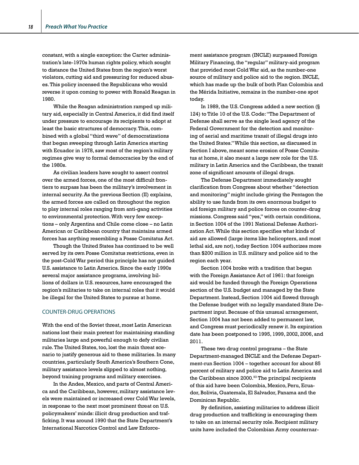constant, with a single exception: the Carter administration's late-1970s human rights policy, which sought to distance the United States from the region's worst violators, cutting aid and pressuring for reduced abuses. This policy incensed the Republicans who would reverse it upon coming to power with Ronald Reagan in 1980.

While the Reagan administration ramped up military aid, especially in Central America, it did find itself under pressure to encourage its recipients to adopt at least the basic structures of democracy. This, combined with a global "third wave" of democratizations that began sweeping through Latin America starting with Ecuador in 1978, saw most of the region's military regimes give way to formal democracies by the end of the 1980s.

As civilian leaders have sought to assert control over the armed forces, one of the most difficult frontiers to surpass has been the military's involvement in internal security. As the previous Section (II) explains, the armed forces are called on throughout the region to play internal roles ranging from anti-gang activities to environmental protection. With very few exceptions – only Argentina and Chile come close – no Latin American or Caribbean country that maintains armed forces has anything resembling a Posse Comitatus Act.

Though the United States has continued to be well served by its own Posse Comitatus restrictions, even in the post-Cold War period this principle has not guided U.S. assistance to Latin America. Since the early 1990s several major assistance programs, involving billions of dollars in U.S. resources, have encouraged the region's militaries to take on internal roles that it would be illegal for the United States to pursue at home.

### COUNTER-DRUG OPERATIONS

With the end of the Soviet threat, most Latin American nations lost their main pretext for maintaining standing militaries large and powerful enough to defy civilian rule. The United States, too, lost the main threat scenario to justify generous aid to these militaries. In many countries, particularly South America's Southern Cone, military assistance levels slipped to almost nothing, beyond training programs and military exercises.

In the Andes, Mexico, and parts of Central America and the Caribbean, however, military assistance levels were maintained or increased over Cold War levels, in response to the next most prominent threat on U.S. policymakers' minds: illicit drug production and trafficking. It was around 1990 that the State Department's International Narcotics Control and Law Enforcement assistance program (INCLE) surpassed Foreign Military Financing, the "regular" military-aid program that provided most Cold War aid, as the number-one source of military and police aid to the region. INCLE, which has made up the bulk of both Plan Colombia and the Mérida Initiative, remains in the number-one spot today.

In 1989, the U.S. Congress added a new section (§ 124) to Title 10 of the U.S. Code: "The Department of Defense shall serve as the single lead agency of the Federal Government for the detection and monitoring of aerial and maritime transit of illegal drugs into the United States." While this section, as discussed in Section I above, meant some erosion of Posse Comitatus at home, it also meant a large new role for the U.S. military in Latin America and the Caribbean, the transit zone of significant amounts of illegal drugs.

The Defense Department immediately sought clarification from Congress about whether "detection and monitoring" might include giving the Pentagon the ability to use funds from its own enormous budget to aid foreign military and police forces on counter-drug missions. Congress said "yes," with certain conditions, in Section 1004 of the 1991 National Defense Authorization Act. While this section specifies what kinds of aid are allowed (large items like helicopters, and most lethal aid, are not), today Section 1004 authorizes more than \$200 million in U.S. military and police aid to the region each year.

Section 1004 broke with a tradition that began with the Foreign Assistance Act of 1961: that foreign aid would be funded through the Foreign Operations section of the U.S. budget and managed by the State Department. Instead, Section 1004 aid flowed through the Defense budget with no legally mandated State Department input. Because of this unusual arrangement, Section 1004 has not been added to permanent law, and Congress must periodically renew it. Its expiration date has been postponed to 1995, 1999, 2002, 2006, and 2011.

These two drug control programs – the State Department-managed INCLE and the Defense Department-run Section 1004 – together account for about 85 percent of military and police aid to Latin America and the Caribbean since 2000.<sup>93</sup> The principal recipients of this aid have been Colombia, Mexico, Peru, Ecuador, Bolivia, Guatemala, El Salvador, Panama and the Dominican Republic.

By definition, assisting militaries to address illicit drug production and trafficking is encouraging them to take on an internal security role. Recipient military units have included the Colombian Army counternar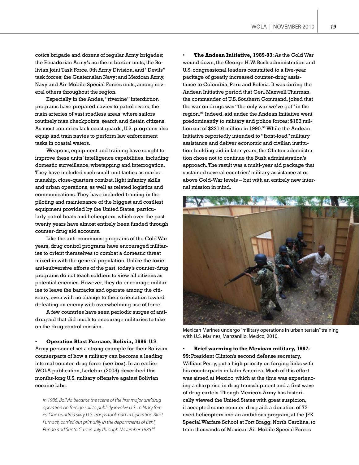cotics brigade and dozens of regular Army brigades; the Ecuadorian Army's northern border units; the Bolivian Joint Task Force, 9th Army Division, and "Devils" task forces; the Guatemalan Navy; and Mexican Army, Navy and Air-Mobile Special Forces units, among several others throughout the region.

Especially in the Andes, "riverine" interdiction programs have prepared navies to patrol rivers, the main arteries of vast roadless areas, where sailors routinely man checkpoints, search and detain citizens. As most countries lack coast guards, U.S. programs also equip and train navies to perform law enforcement tasks in coastal waters.

Weapons, equipment and training have sought to improve these units' intelligence capabilities, including domestic surveillance, wiretapping and interrogation. They have included such small-unit tactics as marksmanship, close-quarters combat, light infantry skills and urban operations, as well as related logistics and communications. They have included training in the piloting and maintenance of the biggest and costliest equipment provided by the United States, particularly patrol boats and helicopters, which over the past twenty years have almost entirely been funded through counter-drug aid accounts.

Like the anti-communist programs of the Cold War years, drug control programs have encouraged militaries to orient themselves to combat a domestic threat mixed in with the general population. Unlike the toxic anti-subversive efforts of the past, today's counter-drug programs do not teach soldiers to view all citizens as potential enemies. However, they do encourage militaries to leave the barracks and operate among the citizenry, even with no change to their orientation toward defeating an enemy with overwhelming use of force.

A few countries have seen periodic surges of antidrug aid that did much to encourage militaries to take on the drug control mission.

• **Operation Blast Furnace, Bolivia, 1986**: U.S. Army personnel set a strong example for their Bolivian counterparts of how a military can become a leading internal counter-drug force (see box). In an earlier WOLA publication, Ledebur (2005) described this months-long U.S. military offensive against Bolivian cocaine labs:

*In 1986, Bolivia became the scene of the first major antidrug operation on foreign soil to publicly involve U.S. military forces. One hundred sixty U.S. troops took part in Operation Blast Furnace, carried out primarily in the departments of Beni, Pando and Santa Cruz in July through November 1986.94*

• **The Andean Initiative, 1989-93**: As the Cold War wound down, the George H.W. Bush administration and U.S. congressional leaders committed to a five-year package of greatly increased counter-drug assistance to Colombia, Peru and Bolivia. It was during the Andean Initiative period that Gen. Maxwell Thurman, the commander of U.S. Southern Command, joked that the war on drugs was "the only war we've got" in the region.<sup>95</sup> Indeed, aid under the Andean Initiative went predominantly to military and police forces: \$183 million out of \$231.6 million in 1990.<sup>96</sup> While the Andean Initiative reportedly intended to "front-load" military assistance and deliver economic and civilian institution-building aid in later years, the Clinton administration chose not to continue the Bush administration's approach. The result was a multi-year aid package that sustained several countries' military assistance at or above Cold-War levels – but with an entirely new internal mission in mind.



Mexican Marines undergo "military operations in urban terrain" training with U.S. Marines, Manzanillo, Mexico, 2010.

• **Brief warming to the Mexican military, 1997- 99**: President Clinton's second defense secretary, William Perry, put a high priority on forging links with his counterparts in Latin America. Much of this effort was aimed at Mexico, which at the time was experiencing a sharp rise in drug transshipment and a first wave of drug cartels. Though Mexico's Army has historically viewed the United States with great suspicion, it accepted some counter-drug aid: a donation of 72 used helicopters and an ambitious program, at the JFK Special Warfare School at Fort Bragg, North Carolina, to train thousands of Mexican Air Mobile Special Forces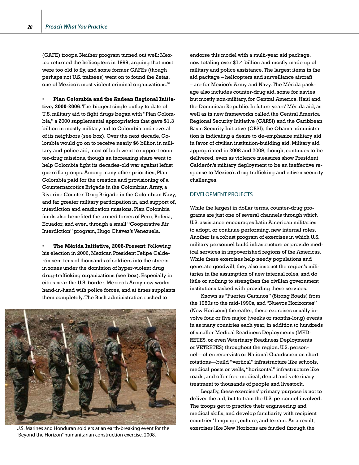(GAFE) troops. Neither program turned out well: Mexico returned the helicopters in 1999, arguing that most were too old to fly, and some former GAFEs (though perhaps not U.S. trainees) went on to found the Zetas, one of Mexico's most violent criminal organizations.<sup>97</sup>

• **Plan Colombia and the Andean Regional Initiative, 2000-2006**: The biggest single outlay to date of U.S. military aid to fight drugs began with "Plan Colombia," a 2000 supplemental appropriation that gave \$1.3 billion in mostly military aid to Colombia and several of its neighbors (see box). Over the next decade, Colombia would go on to receive nearly \$6 billion in military and police aid; most of both went to support counter-drug missions, though an increasing share went to help Colombia fight its decades-old war against leftist guerrilla groups. Among many other priorities, Plan Colombia paid for the creation and provisioning of a Counternarcotics Brigade in the Colombian Army, a Riverine Counter-Drug Brigade in the Colombian Navy, and far greater military participation in, and support of, interdiction and eradication missions. Plan Colombia funds also benefited the armed forces of Peru, Bolivia, Ecuador, and even, through a small "Cooperative Air Interdiction" program, Hugo Chávez's Venezuela.

• **The Mérida Initiative, 2008-Present**: Following his election in 2006, Mexican President Felipe Calderón sent tens of thousands of soldiers into the streets in zones under the dominion of hyper-violent drug drug-trafficking organizations (see box). Especially in cities near the U.S. border, Mexico's Army now works hand-in-hand with police forces, and at times supplants them completely. The Bush administration rushed to



U.S. Marines and Honduran soldiers at an earth-breaking event for the exercises like New Horizons are funded through the "Beyond the Horizon" humanitarian construction exercise, 2008.

endorse this model with a multi-year aid package, now totaling over \$1.4 billion and mostly made up of military and police assistance. The largest items in the aid package – helicopters and surveillance aircraft – are for Mexico's Army and Navy. The Mérida package also includes counter-drug aid, some for navies but mostly non-military, for Central America, Haiti and the Dominican Republic. In future years' Mérida aid, as well as in new frameworks called the Central America Regional Security Initiative (CARSI) and the Caribbean Basin Security Initiative (CBSI), the Obama administration is indicating a desire to de-emphasize military aid in favor of civilian institution-building aid. Military aid appropriated in 2008 and 2009, though, continues to be delivered, even as violence measures show President Calderón's military deployment to be an ineffective response to Mexico's drug trafficking and citizen security challenges.

### DEVELOPMENT PROJECTS

While the largest in dollar terms, counter-drug programs are just one of several channels through which U.S. assistance encourages Latin American militaries to adopt, or continue performing, new internal roles. Another is a robust program of exercises in which U.S. military personnel build infrastructure or provide medical services in impoverished regions of the Americas. While these exercises help needy populations and generate goodwill, they also instruct the region's militaries in the assumption of new internal roles, and do little or nothing to strengthen the civilian government institutions tasked with providing these services.

Known as "Fuertes Caminos" (Strong Roads) from the 1980s to the mid-1990s, and "Nuevos Horizontes" (New Horizons) thereafter, these exercises usually involve four or five major (weeks or months-long) events in as many countries each year, in addition to hundreds of smaller Medical Readiness Deployments (MED-RETES, or even Veterinary Readiness Deployments or VETRETES) throughout the region. U.S. personnel—often reservists or National Guardsmen on short rotations—build "vertical" infrastructure like schools, medical posts or wells, "horizontal" infrastructure like roads, and offer free medical, dental and veterinary treatment to thousands of people and livestock.

Legally, these exercises' primary purpose is not to deliver the aid, but to train the U.S. personnel involved. The troops get to practice their engineering and medical skills, and develop familiarity with recipient countries' language, culture, and terrain. As a result,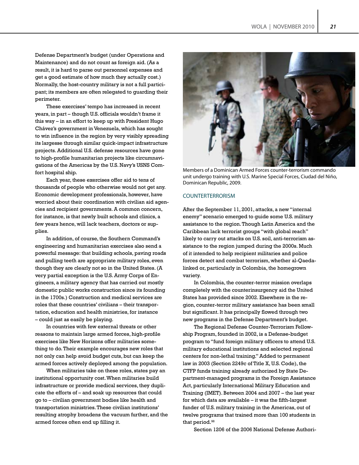Defense Department's budget (under Operations and Maintenance) and do not count as foreign aid. (As a result, it is hard to parse out personnel expenses and get a good estimate of how much they actually cost.) Normally, the host-country military is not a full participant; its members are often relegated to guarding their perimeter.

These exercises' tempo has increased in recent years, in part – though U.S. officials wouldn't frame it this way – in an effort to keep up with President Hugo Chávez's government in Venezuela, which has sought to win influence in the region by very visibly spreading its largesse through similar quick-impact infrastructure projects. Additional U.S. defense resources have gone to high-profile humanitarian projects like circumnavigations of the Americas by the U.S. Navy's USNS Comfort hospital ship.

Each year, these exercises offer aid to tens of thousands of people who otherwise would not get any. Economic development professionals, however, have worried about their coordination with civilian aid agencies and recipient governments. A common concern, for instance, is that newly built schools and clinics, a few years hence, will lack teachers, doctors or supplies.

In addition, of course, the Southern Command's engineering and humanitarian exercises also send a powerful message: that building schools, paving roads and pulling teeth are appropriate military roles, even though they are clearly not so in the United States. (A very partial exception is the U.S. Army Corps of Engineers, a military agency that has carried out mostly domestic public works construction since its founding in the 1700s.) Construction and medical services are roles that these countries' civilians – their transportation, education and health ministries, for instance – could just as easily be playing.

In countries with few external threats or other reasons to maintain large armed forces, high-profile exercises like New Horizons offer militaries something to do. Their example encourages new roles that not only can help avoid budget cuts, but can keep the armed forces actively deployed among the population.

When militaries take on these roles, states pay an institutional opportunity cost. When militaries build infrastructure or provide medical services, they duplicate the efforts of – and soak up resources that could go to – civilian government bodies like health and transportation ministries. These civilian institutions' resulting atrophy broadens the vacuum further, and the armed forces often end up filling it.



Members of a Dominican Armed Forces counter-terrorism commando unit undergo training with U.S. Marine Special Forces, Ciudad del Niño, Dominican Republic, 2009.

#### COUNTERTERRORISM

After the September 11, 2001, attacks, a new "internal enemy" scenario emerged to guide some U.S. military assistance to the region. Though Latin America and the Caribbean lack terrorist groups "with global reach" likely to carry out attacks on U.S. soil, anti-terrorism assistance to the region jumped during the 2000s. Much of it intended to help recipient militaries and police forces detect and combat terrorism, whether al-Qaedalinked or, particularly in Colombia, the homegrown variety.

In Colombia, the counter-terror mission overlaps completely with the counterinsurgency aid the United States has provided since 2002. Elsewhere in the region, counter-terror military assistance has been small but significant. It has principally flowed through two new programs in the Defense Department's budget.

The Regional Defense Counter-Terrorism Fellowship Program, founded in 2002, is a Defense-budget program to "fund foreign military officers to attend U.S. military educational institutions and selected regional centers for non-lethal training." Added to permanent law in 2003 (Section 2249c of Title X, U.S. Code), the CTFP funds training already authorized by State Department-managed programs in the Foreign Assistance Act, particularly International Military Education and Training (IMET). Between 2004 and 2007 – the last year for which data are available – it was the fifth-largest funder of U.S. military training in the Americas, out of twelve programs that trained more than 100 students in that period.<sup>98</sup>

Section 1206 of the 2006 National Defense Authori-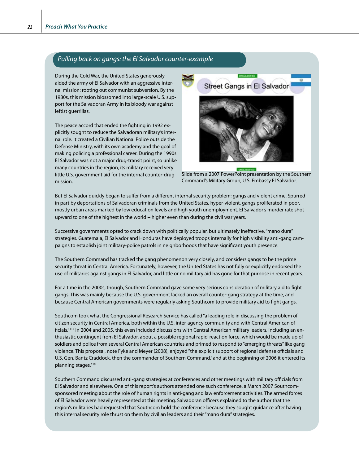### *Pulling back on gangs: the El Salvador counter-example*

During the Cold War, the United States generously aided the army of El Salvador with an aggressive internal mission: rooting out communist subversion. By the 1980s, this mission blossomed into large-scale U.S. support for the Salvadoran Army in its bloody war against leftist guerrillas.

The peace accord that ended the fighting in 1992 explicitly sought to reduce the Salvadoran military's internal role. It created a Civilian National Police outside the Defense Ministry, with its own academy and the goal of making policing a professional career. During the 1990s El Salvador was not a major drug-transit point, so unlike many countries in the region, its military received very little U.S. government aid for the internal counter-drug mission.



Slide from a 2007 PowerPoint presentation by the Southern Command's Military Group, U.S. Embassy El Salvador.

But El Salvador quickly began to suffer from a different internal security problem: gangs and violent crime. Spurred in part by deportations of Salvadoran criminals from the United States, hyper-violent, gangs proliferated in poor, mostly urban areas marked by low education levels and high youth unemployment. El Salvador's murder rate shot upward to one of the highest in the world – higher even than during the civil war years.

Successive governments opted to crack down with politically popular, but ultimately ineffective, "mano dura" strategies. Guatemala, El Salvador and Honduras have deployed troops internally for high visibility anti-gang campaigns to establish joint military-police patrols in neighborhoods that have significant youth presence.

The Southern Command has tracked the gang phenomenon very closely, and considers gangs to be the prime security threat in Central America. Fortunately, however, the United States has not fully or explicitly endorsed the use of militaries against gangs in El Salvador, and little or no military aid has gone for that purpose in recent years.

For a time in the 2000s, though, Southern Command gave some very serious consideration of military aid to fight gangs. This was mainly because the U.S. government lacked an overall counter-gang strategy at the time, and because Central American governments were regularly asking Southcom to provide military aid to fight gangs.

Southcom took what the Congressional Research Service has called "a leading role in discussing the problem of citizen security in Central America, both within the U.S. inter-agency community and with Central American officials."<sup>118</sup> In 2004 and 2005, this even included discussions with Central American military leaders, including an enthusiastic contingent from El Salvador, about a possible regional rapid-reaction force, which would be made up of soldiers and police from several Central American countries and primed to respond to "emerging threats" like gang violence. This proposal, note Fyke and Meyer (2008), enjoyed "the explicit support of regional defense officials and U.S. Gen. Bantz Craddock, then the commander of Southern Command," and at the beginning of 2006 it entered its planning stages.<sup>119</sup>

Southern Command discussed anti-gang strategies at conferences and other meetings with military officials from El Salvador and elsewhere. One of this report's authors attended one such conference, a March 2007 Southcomsponsored meeting about the role of human rights in anti-gang and law enforcement activities. The armed forces of El Salvador were heavily represented at this meeting. Salvadoran officers explained to the author that the region's militaries had requested that Southcom hold the conference because they sought guidance after having this internal security role thrust on them by civilian leaders and their "mano dura" strategies.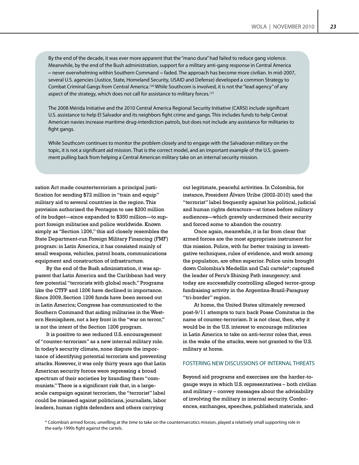By the end of the decade, it was ever more apparent that the "mano dura" had failed to reduce gang violence. Meanwhile, by the end of the Bush administration, support for a military anti-gang response in Central America – never overwhelming within Southern Command – faded. The approach has become more civilian. In mid-2007, several U.S. agencies (Justice, State, Homeland Security, USAID and Defense) developed a common Strategy to Combat Criminal Gangs from Central America.120 While Southcom is involved, it is not the "lead agency" of any aspect of the strategy, which does not call for assistance to military forces.<sup>121</sup>

The 2008 Mérida Initiative and the 2010 Central America Regional Security Initiative (CARSI) include significant U.S. assistance to help El Salvador and its neighbors fight crime and gangs. This includes funds to help Central American navies increase maritime drug-interdiction patrols, but does not include any assistance for militaries to fight gangs.

While Southcom continues to monitor the problem closely and to engage with the Salvadoran military on the topic, it is not a significant aid mission. That is the correct model, and an important example of the U.S. government pulling back from helping a Central American military take on an internal security mission.

zation Act made counterterrorism a principal justification for sending \$72 million in "train and equip" military aid to several countries in the region. This provision authorized the Pentagon to use \$200 million of its budget—since expanded to \$350 million—to support foreign militaries and police worldwide. Known simply as "Section 1206," this aid closely resembles the State Department-run Foreign Military Financing (FMF) program: in Latin America, it has consisted mainly of small weapons, vehicles, patrol boats, communications equipment and construction of infrastructure.

By the end of the Bush administration, it was apparent that Latin America and the Caribbean had very few potential "terrorists with global reach." Programs like the CTFP and 1206 have declined in importance. Since 2009, Section 1206 funds have been zeroed out in Latin America; Congress has communicated to the Southern Command that aiding militaries in the Western Hemisphere, not a key front in the "war on terror," is not the intent of the Section 1206 program.

It is positive to see reduced U.S. encouragement of "counter-terrorism" as a new internal military role. In today's security climate, none dispute the importance of identifying potential terrorists and preventing attacks. However, it was only thirty years ago that Latin American security forces were repressing a broad spectrum of their societies by branding them "communists." There is a significant risk that, in a largescale campaign against terrorism, the "terrorist" label could be misused against politicians, journalists, labor leaders, human rights defenders and others carrying

out legitimate, peaceful activities. In Colombia, for instance, President Álvaro Uribe (2002-2010) used the "terrorist" label frequently against his political, judicial and human rights detractors—at times before military audiences—which gravely undermined their security and forced some to abandon the country.

Once again, meanwhile, it is far from clear that armed forces are the most appropriate instrument for this mission. Police, with far better training in investigative techniques, rules of evidence, and work among the population, are often superior. Police units brought down Colombia's Medellín and Cali cartels\*; captured the leader of Peru's Shining Path insurgency; and today are successfully controlling alleged terror-group fundraising activity in the Argentina-Brazil-Paraguay "tri-border" region.

At home, the United States ultimately reversed post-9/11 attempts to turn back Posse Comitatus in the name of counter-terrorism. It is not clear, then, why it would be in the U.S. interest to encourage militaries in Latin America to take on anti-terror roles that, even in the wake of the attacks, were not granted to the U.S. military at home.

### FOSTERING NEW DISCUSSIONS OF INTERNAL THREATS

Beyond aid programs and exercises are the harder-togauge ways in which U.S. representatives – both civilian and military – convey messages about the advisability of involving the military in internal security. Conferences, exchanges, speeches, published materials, and

\* Colombia's armed forces, unwilling at the time to take on the counternarcotics mission, played a relatively small supporting role in the early-1990s fight against the cartels.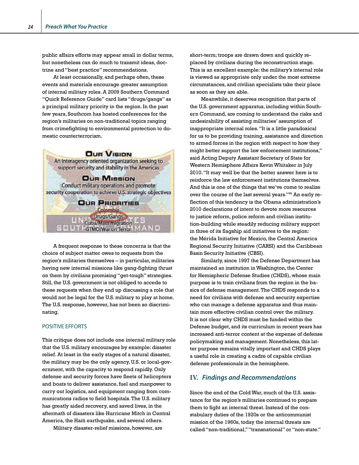public affairs efforts may appear small in dollar terms, but nonetheless can do much to transmit ideas, doctrine and "best practice" recommendations.

At least occasionally, and perhaps often, these events and materials encourage greater assumption of internal military roles. A 2009 Southern Command "Quick Reference Guide" card lists "drugs/gangs" as a principal military priority in the region. In the past few years, Southcom has hosted conferences for the region's militaries on non-traditional topics ranging from crimefighting to environmental protection to domestic counterterrorism.



A frequent response to these concerns is that the choice of subject matter owes to requests from the region's militaries themselves – in particular, militaries having new internal missions like gang-fighting thrust on them by civilians promising "get-tough" strategies. Still, the U.S. government is not obliged to accede to these requests when they end up discussing a role that would not be legal for the U.S. military to play at home. The U.S. response, however, has not been so discriminating.

### POSITIVE EFFORTS

This critique does not include one internal military role that the U.S. military encourages by example: disaster relief. At least in the early stages of a natural disaster, the military may be the only agency, U.S. or local-government, with the capacity to respond rapidly. Only defense and security forces have fleets of helicopters and boats to deliver assistance, fuel and manpower to carry out logistics, and equipment ranging from communications radios to field hospitals. The U.S. military has greatly aided recovery, and saved lives, in the aftermath of disasters like Hurricane Mitch in Central America, the Haiti earthquake, and several others.

Military disaster-relief missions, however, are

short-term; troops are drawn down and quickly replaced by civilians during the reconstruction stage. This is an excellent example: the military's internal role is viewed as appropriate only under the most extreme circumstances, and civilian specialists take their place as soon as they are able.

Meanwhile, it deserves recognition that parts of the U.S. government apparatus, including within Southern Command, are coming to understand the risks and undesirability of assisting militaries' assumption of inappropriate internal roles. "It is a little paradoxical for us to be providing training, assistance and direction to armed forces in the region with respect to how they might better support the law enforcement institutions," said Acting Deputy Assistant Secretary of State for Western Hemisphere Affairs Kevin Whitaker in July 2010. "It may well be that the better answer here is to reinforce the law enforcement institutions themselves. And this is one of the things that we've come to realize over the course of the last several years."99 An early reflection of this tendency is the Obama administration's 2010 declarations of intent to devote more resources to justice reform, police reform and civilian institution-building while steadily reducing military support in three of its flagship aid initiatives to the region: the Mérida Initiative for Mexico, the Central America Regional Security Initiative (CARSI) and the Caribbean Basin Security Initiative (CBSI).

Similarly, since 1997 the Defense Department has maintained an institution in Washington, the Center for Hemispheric Defense Studies (CHDS), whose main purpose is to train civilians from the region in the basics of defense management. The CHDS responds to a need for civilians with defense and security expertise who can manage a defense apparatus and thus maintain more effective civilian control over the military. It is not clear why CHDS must be funded within the Defense budget, and its curriculum in recent years has increased anti-terror content at the expense of defense policymaking and management. Nonetheless, this latter purpose remains vitally important and CHDS plays a useful role in creating a cadre of capable civilian defense professionals in the hemisphere.

### **IV.** *Findings and Recommendations*

Since the end of the Cold War, much of the U.S. assistance for the region's militaries continued to prepare them to fight an internal threat. Instead of the constabulary duties of the 1920s or the anticommunist mission of the 1960s, today the internal threats are called "non-traditional," "transnational" or "non-state."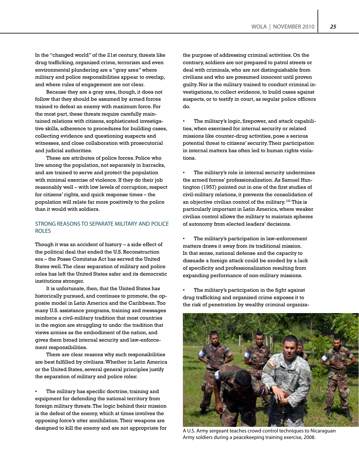In the "changed world" of the 21st century, threats like drug trafficking, organized crime, terrorism and even environmental plundering are a "gray area" where military and police responsibilities appear to overlap, and where rules of engagement are not clear.

Because they are a gray area, though, it does not follow that they should be assumed by armed forces trained to defeat an enemy with maximum force. For the most part, these threats require carefully maintained relations with citizens, sophisticated investigative skills, adherence to procedures for building cases, collecting evidence and questioning suspects and witnesses, and close collaboration with prosecutorial and judicial authorities.

These are attributes of police forces. Police who live among the population, not separately in barracks, and are trained to serve and protect the population with minimal exercise of violence. If they do their job reasonably well – with low levels of corruption, respect for citizens' rights, and quick response times – the population will relate far more positively to the police than it would with soldiers.

### STRONG REASONS TO SEPARATE MILITARY AND POLICE ROLES

Though it was an accident of history – a side effect of the political deal that ended the U.S. Reconstruction era – the Posse Comitatus Act has served the United States well. The clear separation of military and police roles has left the United States safer and its democratic institutions stronger.

It is unfortunate, then, that the United States has historically pursued, and continues to promote, the opposite model in Latin America and the Caribbean. Too many U.S. assistance programs, training and messages reinforce a civil-military tradition that most countries in the region are struggling to undo: the tradition that views armies as the embodiment of the nation, and gives them broad internal security and law-enforcement responsibilities.

There are clear reasons why such responsibilities are best fulfilled by civilians. Whether in Latin America or the United States, several general principles justify the separation of military and police roles:

The military has specific doctrine, training and equipment for defending the national territory from foreign military threats. The logic behind their mission is the defeat of the enemy, which at times involves the opposing force's utter annihilation. Their weapons are designed to kill the enemy and are not appropriate for the purpose of addressing criminal activities. On the contrary, soldiers are not prepared to patrol streets or deal with criminals, who are not distinguishable from civilians and who are presumed innocent until proven guilty. Nor is the military trained to conduct criminal investigations, to collect evidence, to build cases against suspects, or to testify in court, as regular police officers do.

• The military's logic, firepower, and attack capabilities, when exercised for internal security or related missions like counter-drug activities, pose a serious potential threat to citizens' security. Their participation in internal matters has often led to human rights violations.

The military's role in internal security undermines the armed forces' professionalization. As Samuel Huntington (1957) pointed out in one of the first studies of civil-military relations, it prevents the consolidation of an objective civilian control of the military.<sup>122</sup> This is particularly important in Latin America, where weaker civilian control allows the military to maintain spheres of autonomy from elected leaders' decisions.

The military's participation in law-enforcement matters draws it away from its traditional mission. In that sense, national defense and the capacity to dissuade a foreign attack could be eroded by a lack of specificity and professionalization resulting from expanding performance of non-military missions.

The military's participation in the fight against drug trafficking and organized crime exposes it to the risk of penetration by wealthy criminal organiza-



A U.S. Army sergeant teaches crowd control techniques to Nicaraguan Army soldiers during a peacekeeping training exercise, 2008.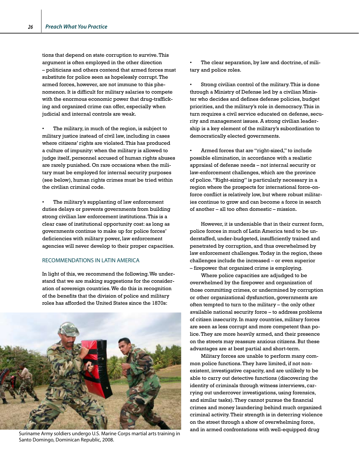tions that depend on state corruption to survive. This argument is often employed in the other direction – politicians and others contend that armed forces must substitute for police seen as hopelessly corrupt. The armed forces, however, are not immune to this phenomenon. It is difficult for military salaries to compete with the enormous economic power that drug-trafficking and organized crime can offer, especially when judicial and internal controls are weak.

The military, in much of the region, is subject to military justice instead of civil law, including in cases where citizens' rights are violated. This has produced a culture of impunity: when the military is allowed to judge itself, personnel accused of human rights abuses are rarely punished. On rare occasions when the military must be employed for internal security purposes (see below), human rights crimes must be tried within the civilian criminal code.

The military's supplanting of law enforcement duties delays or prevents governments from building strong civilian law enforcement institutions. This is a clear case of institutional opportunity cost: as long as governments continue to make up for police forces' deficiencies with military power, law enforcement agencies will never develop to their proper capacities.

### RECOMMENDATIONS IN LATIN AMERICA

In light of this, we recommend the following. We understand that we are making suggestions for the consideration of sovereign countries. We do this in recognition of the benefits that the division of police and military roles has afforded the United States since the 1870s:



Santo Domingo, Dominican Republic, 2008.

The clear separation, by law and doctrine, of military and police roles.

Strong civilian control of the military. This is done through a Ministry of Defense led by a civilian Minister who decides and defines defense policies, budget priorities, and the military's role in democracy. This in turn requires a civil service educated on defense, security and management issues. A strong civilian leadership is a key element of the military's subordination to democratically elected governments.

• Armed forces that are "right-sized," to include possible elimination, in accordance with a realistic appraisal of defense needs – not internal security or law-enforcement challenges, which are the province of police. "Right-sizing" is particularly necessary in a region where the prospects for international force-onforce conflict is relatively low, but where robust militaries continue to grow and can become a force in search of another – all too often domestic – mission.

However, it is undeniable that in their current form, police forces in much of Latin America tend to be understaffed, under-budgeted, insufficiently trained and penetrated by corruption, and thus overwhelmed by law enforcement challenges. Today in the region, these challenges include the increased – or even superior – firepower that organized crime is employing.

Where police capacities are adjudged to be overwhelmed by the firepower and organization of those committing crimes, or undermined by corruption or other organizational dysfunction, governments are often tempted to turn to the military – the only other available national security force – to address problems of citizen insecurity. In many countries, military forces are seen as less corrupt and more competent than police. They are more heavily armed, and their presence on the streets may reassure anxious citizens. But these advantages are at best partial and short-term.

Military forces are unable to perform many common police functions. They have limited, if not nonexistent, investigative capacity, and are unlikely to be able to carry out detective functions (discovering the identity of criminals through witness interviews, carrying out undercover investigations, using forensics, and similar tasks). They cannot pursue the financial crimes and money laundering behind much organized criminal activity. Their strength is in deterring violence on the street through a show of overwhelming force,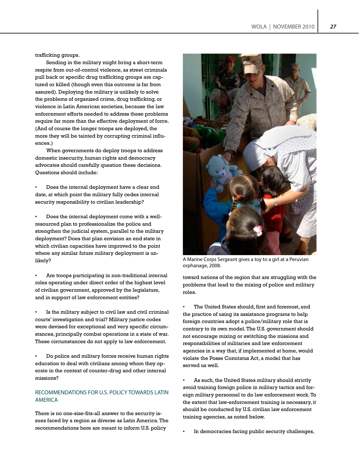trafficking groups.

Sending in the military might bring a short-term respite from out-of-control violence, as street criminals pull back or specific drug trafficking groups are captured or killed (though even this outcome is far from assured). Deploying the military is unlikely to solve the problems of organized crime, drug trafficking, or violence in Latin American societies, because the law enforcement efforts needed to address these problems require far more than the effective deployment of force. (And of course the longer troops are deployed, the more they will be tainted by corrupting criminal influences.)

When governments do deploy troops to address domestic insecurity, human rights and democracy advocates should carefully question these decisions. Questions should include:

• Does the internal deployment have a clear end date, at which point the military fully cedes internal security responsibility to civilian leadership?

• Does the internal deployment come with a wellresourced plan to professionalize the police and strengthen the judicial system, parallel to the military deployment? Does that plan envision an end state in which civilian capacities have improved to the point where any similar future military deployment is unlikely?

Are troops participating in non-traditional internal roles operating under direct order of the highest level of civilian government, approved by the legislature, and in support of law enforcement entities?

Is the military subject to civil law and civil criminal courts' investigation and trial? Military justice codes were devised for exceptional and very specific circumstances, principally combat operations in a state of war. These circumstances do not apply to law enforcement.

• Do police and military forces receive human rights education to deal with civilians among whom they operate in the context of counter-drug and other internal missions?

### RECOMMENDATIONS FOR U.S. POLICY TOWARDS LATIN AMERICA

There is no one-size-fits-all answer to the security issues faced by a region as diverse as Latin America. The recommendations here are meant to inform U.S. policy



A Marine Corps Sergeant gives a toy to a girl at a Peruvian orphanage, 2008.

toward nations of the region that are struggling with the problems that lead to the mixing of police and military roles.

The United States should, first and foremost, end the practice of using its assistance programs to help foreign countries adopt a police/military role that is contrary to its own model. The U.S. government should not encourage mixing or switching the missions and responsibilities of militaries and law enforcement agencies in a way that, if implemented at home, would violate the Posse Comitatus Act, a model that has served us well.

• As such, the United States military should strictly avoid training foreign police in military tactics and foreign military personnel to do law enforcement work. To the extent that law-enforcement training is necessary, it should be conducted by U.S. civilian law enforcement training agencies, as noted below.

In democracies facing public security challenges,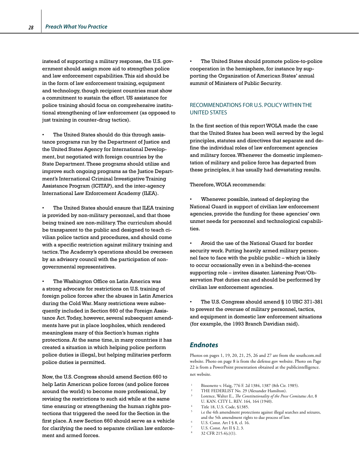instead of supporting a military response, the U.S. government should assign more aid to strengthen police and law enforcement capabilities. This aid should be in the form of law enforcement training, equipment and technology, though recipient countries must show a commitment to sustain the effort. US assistance for police training should focus on comprehensive institutional strengthening of law enforcement (as opposed to just training in counter-drug tactics).

The United States should do this through assistance programs run by the Department of Justice and the United States Agency for International Development, but negotiated with foreign countries by the State Department. These programs should utilize and improve such ongoing programs as the Justice Department's International Criminal Investigative Training Assistance Program (ICITAP), and the inter-agency International Law Enforcement Academy (ILEA).

The United States should ensure that ILEA training is provided by non-military personnel, and that those being trained are non-military. The curriculum should be transparent to the public and designed to teach civilian police tactics and procedures, and should come with a specific restriction against military training and tactics. The Academy's operations should be overseen by an advisory council with the participation of nongovernmental representatives.

The Washington Office on Latin America was a strong advocate for restrictions on U.S. training of foreign police forces after the abuses in Latin America during the Cold War. Many restrictions were subsequently included in Section 660 of the Foreign Assistance Act. Today, however, several subsequent amendments have put in place loopholes, which rendered meaningless many of this Section's human rights protections. At the same time, in many countries it has created a situation in which helping police perform police duties is illegal, but helping militaries perform police duties is permitted.

Now, the U.S. Congress should amend Section 660 to help Latin American police forces (and police forces around the world) to become more professional, by revising the restrictions to such aid while at the same time ensuring or strengthening the human rights protections that triggered the need for the Section in the first place. A new Section 660 should serve as a vehicle for clarifying the need to separate civilian law enforcement and armed forces.

The United States should promote police-to-police cooperation in the hemisphere, for instance by supporting the Organization of American States' annual summit of Ministers of Public Security.

### RECOMMENDATIONS FOR U.S. POLICY WITHIN THE UNITED STATES

In the first section of this report WOLA made the case that the United States has been well served by the legal principles, statutes and directives that separate and define the individual roles of law enforcement agencies and military forces. Whenever the domestic implementation of military and police force has departed from these principles, it has usually had devastating results.

### Therefore, WOLA recommends:

• Whenever possible, instead of deploying the National Guard in support of civilian law enforcement agencies, provide the funding for these agencies' own unmet needs for personnel and technological capabilities.

• Avoid the use of the National Guard for border security work. Putting heavily armed military personnel face to face with the public public – which is likely to occur occasionally even in a behind-the-scenes supporting role – invites disaster. Listening Post/Observation Post duties can and should be performed by civilian law enforcement agencies.

The U.S. Congress should amend § 10 USC 371-381 to prevent the overuse of military personnel, tactics, and equipment in domestic law enforcement situations (for example, the 1993 Branch Davidian raid).

## *Endnotes*

Photos on pages 1, 19, 20, 21, 25, 26 and 27 are from the southcom.mil website. Photo on page 8 is from the defense.gov website. Photo on Page 22 is from a PowerPoint presentation obtained at the publicintelligence. net website.

- Bissonette v. Haig, 776 F. 2d 1384, 1387 (8th Cir. 1985).
- THE FEDERLIST No. 29 (Alexander Hamilton).
- <sup>3</sup> Lorence, Walter E., *The Constitutionality of the Posse Comitatus Act*, 8 U. KAN. CITY L. REV. 164, 164 (1940).
- Title 18, U.S. Code, §1385.
- i.e the 4th amendment protections against illegal searches and seizures, and the 5th amendment rights to due process of law.
- <sup>6</sup> U.S. Const. Art I § 8, cl. 16.
- U.S. Const. Art II § 2, 3.
- 32 CFR 215.4(c)(1).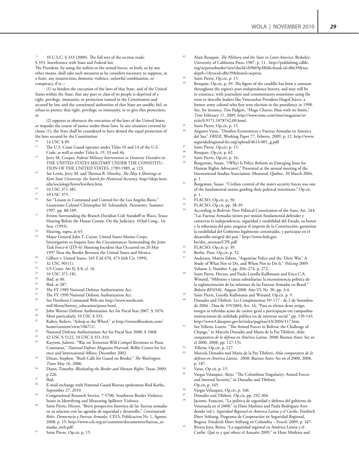10 U.S.C. § 333 (2000). The full text of the section reads: § 333. Interference with State and Federal law

The President, by using the militia or the armed forces, or both, or by any other means, shall take such measures as he considers necessary to suppress, in a State, any insurrection, domestic violence, unlawful combination, or conspiracy, if it—

(1) so hinders the execution of the laws of that State, and of the United States within the State, that any part or class of its people is deprived of a right, privilege, immunity, or protection named in the Constitution and secured by law, and the constituted authorities of that State are unable, fail, or refuse to protect that right, privilege, or immunity, or to give that protection; or

(2) opposes or obstructs the execution of the laws of the United States or impedes the course of justice under those laws. In any situation covered by clause (1), the State shall be considered to have denied the equal protection of the laws secured by the Constitution.

- $^{10}$  14 USC  $\frac{10}{11}$  The IIS Coss
- The U.S. Coast Guard operates under Titles 10 and 14 of the U.S. Code, as well as under Titles 6, 19, 33 and 46.
- <sup>12</sup> Jerry M. Cooper, *Federal Military Intervention in Domestic Disorders* in THE UNITED STATES MILITARY UNDER THE CONSITITU-TION OF THE UNITED STATES, 1789-1989, at 123.
- <sup>13</sup> See Lewis, Jerry M. and Thomas R. Hensley, *The May 4 Shootings at Kent State University: the Search for Historical Accuracy*. http://dept.kent. edu/sociology/lewis/lewihen.htm.
- $14$  10 USC 371-381.
- $^{15}$  10 USC 375.
- See "Lesson in Command and Control for the Los Angeles Riots," Lieutenant Colonel Christopher M. Schnaubelt, *Parameters*. Summer 1997, pp. 88-109.
- <sup>17</sup> Events Surrounding the Branch Davidian Cult Standoff in Waco, Texas: Hearing Before the House Comm. On the Judiciary. 103rd Cong., 1st Sess. (1993).
- <sup>18</sup> Hearing, supra, at 65.<br> $\frac{19}{12}$  Maior Congral John T
- Major General John T. Coyne, United States Marine Corps, Investigation to Inquire Into the Circumstances Surrounding the Joint Task Force-6 (JTF-6) Shooting Incident that Occurred on 20 May
- <sup>20</sup> Gilbert v. United States, 165 F.3d 470, 473 (6th Cir. 1999).<br><sup>21</sup>  $32 \text{ I} \text{ ISC}$  001(1)
- <sup>21</sup> 32 USC 901(1).
- <sup>22</sup> US Const. Art II, § 8, cl. 16.<br><sup>23</sup> 10 USC 371-181
- <sup>23</sup> 10 USC 371-181.<br><sup>24</sup> Lhid at 40
- $\frac{24}{25}$  Ibid. at 40.
- $^{25}$  Ibid. at 287.
- 
- <sup>26</sup> The FY 1989 National Defense Authorization Act.<br><sup>27</sup> The FY 1990 National Defense Authorization Act.<br><sup>28</sup> See Newbern Command Web site bttp://www.per See Northern Command Web site http://www.northcom.
- mil/About/history\_education/posse.html. <sup>29</sup> John Warner Defense Authorization Act for Fiscal Year 2007, § 1076.
- $30$  Most particularly, 10 USC  $$333$ .<br> $31$  Kybox Pobert "Asleep at the Wh
- Kubey, Robert. "Asleep at the Wheel," at http://towardfreedom.com/ home/content/view/1067/1/.
- <sup>32</sup> National Defense Authorization Act for Fiscal Year 2008, § 1068.
- $\frac{33}{44}$  42 USC § 5122, 10 USC § 331-333
- Kayyem, Juliette. "War on Terrorism Will Compel Revisions to Posse Comitatus," *National Defense Magazine* Harvard, Belfer Center for Science and International Affairs, December 2002.
- <sup>35</sup> Dinan, Stephen. "Bush Calls for Guard on Border," *The Washington Times* May 16, 2006.
- <sup>36</sup> Dunn, Timothy. *Blockading the Border and Human Rights*. Texas: 2009, p 226.
- Ibid.
- E-mail exchange with National Guard Bureau spokesman Rod Korba, September 27, 2010.
- Congressional Research Service, 7-5700, Southwest Border Violence: Issues in Identifying and Measuring Spillover Violence.
- Saint Pierre, Hector, "Breve perspective historica de las fuerzas armadas en su relacion con las agendas de seguridad y desarrollo," *Construyendo Roles. Democracia y Fuerzas Armadas*. CELS, Publicacion Nr. 1, Agosto, 2008: p. 15, http://www.cels.org.ar/common/documentos/fuerzas\_armadas\_web.pdf.
- <sup>41</sup> Saint Pierre, Op.cit, p. 15.
- <sup>42</sup> Alain Rouquie. *The Military and the State in Latin America*. Berkeley: University of California Press, 1987, p. 11. http://publishing.cdlib. org/ucpressebooks/view?docId=ft9b69p386&chunk.id=d0e39&toc. depth=1&tocid=d0e39&brand=ucpress.
- Saint Pierre, Op.cit, p. 15.
- Rouquie, Op.cit, p. 49. The figure of the caudillo has been a constant throughout the region's post-independence history, and may still be in existence, with journalists and commentators sometimes using the term to describe leaders like Venezuelan President HugoChávez, a former army colonel who first won election to the presidency in 1998. See, for instance, Tim Padgett, "Hugo Chavez: Man with no limits," *Time* February 11, 2009, http://www.time.com/time/magazine/article/0,9171,1878742,00.html.
- Saint Pierre, Op.cit, p. 15.
- <sup>46</sup> Augusto Varas, "Desafios Economicos y Fuerzas Armadas en America del Sur," *FRIDE*, Working Paper 77, Febrero, 2009, p. 12. http://www. seguridadregional-fes.org/upload/4614-001\_g.pdf.
- 47 Saint Pierre, Op.cit, p. 1<br>48 Rouquie, Op.cit, p. 62.
- 
- Saint Pierre, Op.cit, p. 16.
- Burgeman, Susan. "(Why) Is Police Reform an Emerging Issue for Human Rights Advocates?," Presented at the annual meeting of the International Studies Association: Montreal, Quebec, 20 March 2004, p. 1.
- Burgeman, Susan. "Civilian control of the state's security forces was one of the fundamental norms guiding their political transitions." Op.cit, p. 1.
- $^{52}$  FLACSO, Op.cit, p. 50.<br> $^{53}$  FLACSO, Op.cit, pp. 38
- FLACSO, Op.cit, pp. 38-39.
- According to Bolivia's New Political Constitution of the State, Art. 244: "Las Fuerzas Armadas tienen por misión fundamental defender y conservar la independencia, seguridad y estabilidad del Estado, su honor y la soberanía del país; asegurar el imperio de la Constitución, garantizar la estabilidad del Gobierno legalmente constituido, y participar en el desarrollo integral del país." http://www.fndr.gov. bo/doc\_normas/CPE.pdf
- <sup>55</sup> FLACSO, Op.cit, p. 39.
- Berlin, Pion. Op.cit, p. 52.
- <sup>57</sup> Andersen, Martin Edwin. "Argentine Police and the 'Dirty War': A Study of What Not to Do, and When Not to Do It." *Policing* 2009: Volume 3, Number 3, pp. 264–274, p. 272.
- Saint Pierre, Hector, and Paulo Loyolla Kulhmann and Erica C.A. Winand, "Militares y tareas subsidiarias: la inconsistencia politica de la reglamentación de las misiones de las Fuerzas Armadas en Brasil." *Boletin RESDAL*. August 2008: Año VI, Nr. 30, pp. 3-4.
- Saint Pierre, Loyolla Kulhmann and Winand. Op.cit. p. 9.
- Donadio and Tibiletti. Lei Complementar Nº 117 de 2 de Setembro de 2004 - Dou de 3/9/2004, Art. 16: "Para os efeitos deste artigo, integra as referidas ações de caráter geral a participação em campanhas institucionais de utilidade pública ou de interesse social." pp. 139-143. http://www3.dataprev.gov.br/sislex/paginas/43/2004/117.htm.
- <sup>61</sup> See Telleria, Loreta. "The Armed Forces in Bolivia: the Challenge of Change," in Marcela Donadio and Maria de la Paz Tibiletti, *Atlas comparativo de la defensa en América Latina*. 2008: Buenos Aires: Ser en el 2000, 2008, pp. 127-131.
- $^{62}$  Telleria, Op.cit, p. 127.
- <sup>63</sup> Marcela Donadio and Maria de la Paz Tibiletti, *Atlas comparativo de la defensa en América Latina*. 2008: Buenos Aires: Ser en el 2000, 2008, p. 187.
- Varas, Op.cit, p. 15.
- <sup>65</sup> Vargas Velasquez, Alejo. "The Colombian Singularity: Armed Forces and Internal Security," in Donadio and Tibiletti, Op.cit, p. 165.
- 
- <sup>66</sup> Vargas Velasquez, Op.cit, p. 166. <sup>67</sup> Donadio and Tibiletti, Op.cit, pp. 292-304.
- Jacome, Francine, "La política de seguridad y defensa del gobierno de Venezuela en el 2008," in Hans Mathieu and Paula Rodriguez Arredondo (ed.), *Seguridad Regional en America Latina y el Caribe*. Friedrich Ebert Stiftung, Programa de Cooperación en Seguridad Regional, Bogota: Friedrich Ebert Stiftung en Colombia – Fescol: 2009, p. 167.
- <sup>69</sup> Rivera Joya, Reina. "La seguridad regional en América Latina y el Caribe. Qué es y qué ofrece el Anuario 2009," in Hans Mathieu and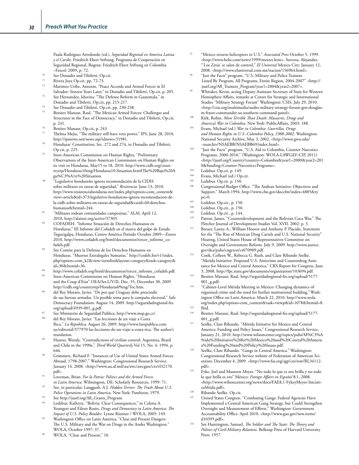Paula Rodriguez Arredondo (ed.), *Seguridad Regional en America Latina y el Caribe*. Friedrich Ebert Stiftung, Programa de Cooperación en Seguridad Regional, Bogota: Friedrich Ebert Stiftung en Colombia –Fescol: 2009, p. 72.

- $70$  See Donadio and Tibiletti, Op.cit.
- <sup>71</sup> Rivera Joya Op.cit. pp. 72-73.<br><sup>72</sup> Martinez-Uribe, Antonio, "Pea
- Martinez-Uribe, Antonio. "Peace Accords and Armed Forces in El Salvador: Sixteen Years Later," in Donadio and Tibiletti, Op.cit, p. 205.
- See Hernandez, Iduvina. "The Defense Reform in Guatemala," in Donadio and Tibiletti, Op.cit, pp. 215-217.
- <sup>74</sup> See Donadio and Tibiletti. Op.cit, pp. 230-238.
- Benitez Manaut, Raul. "The Mexican Armed Forces: Challenges and Structures in the Face of Democracy," in Donadio and Tibiletti, Op.cit, p. 241.
- Benitez Manaut, Op.cit, p. 243.
- Thelma Mejia, "The military still have veto power," IPS, June 28, 2010, http://ipsnews.net/news.asp?idnews=51981.
- Honduras' Constitution, Sec. 272 and 274, in Donadio and Tibiletti, Op.cit, p. 225.
- Inter-American Commission on Human Rights, "Preliminary Observations of the Inter-American Commission on Human Rights on its visit to Honduras, May15 to 18, 2010. http://www.cidh.org/countryrep/Honduras10eng/Honduras10.Situation.htm#The%20Bajo%20A gu%C3%A1n%20Situation.
- "Legislativo hondureño ignora recomendación de la CIDH sobre militares en tareas de seguridad," *Resistencia.* June 13, 2010. http://www.resistenciahonduras.net/index.php?option=com\_content& view=article&id=373:legislativo-hondureno-ignora-recomendacion-dela-cidh-sobre-militares-en-tareas-de-seguridad&catid=60:derechoshumanos&Itemid=244.
- <sup>81</sup> "Militares rodean comunidades campesinas," ALAI, April 12, 2010, http://alainet.org/active/37303.
- <sup>82</sup> COFADEH. "Informe Situación de Derechos Humanos en Honduras," III Informe del Cofadeh en el marco del golpe de Estado Tegucigalpa, Honduras, Centro América Período Octubre 2009—Enero 2010, http://www.cofadeh.org/html/documentos/tercer\_informe\_cofadeh.pdf.
- <sup>83</sup> See Comite para la Defensa de los Derechos Humanos en Honduras. "Muertes Extralegales Sumarias." http://codeh.hn/v1/index. php?option=com\_k2&view=itemlist&layout=category&task=category& id=30&Itemid=36.
- <sup>84</sup> http://www.cofadeh.org/html/documentos/tercer\_informe\_cofadeh.pdf.
- Inter-American Commission on Human Rights. "Honduras and the Coup d'Etat" OEA/Ser.L/V/II, Doc. 55, December 30, 2009 http://cidh.org/countryrep/Honduras09eng/Toc.htm.
- del Rey Morato, Javier. "De por qué Uruguay debe prescindir de sus fuerzas armadas. Un posible tema para la campaña electoral," Safe Democracy Foundation: August 14, 2009. http://seguridadregional-fes. org/upload/4939-001\_g.pdf.
- See Ministerio de Seguridad Publica: http://www.msp.go.cr/.
- del Rey Morato, Javier. "Las lecciones de un viaje a Costa Rica," *La Republica*. August 26, 2009. http://www.larepublica.com. uy/editorial/377970-las-lecciones-de-un-viaje-a-costa-rica. The author's translation.
- <sup>89</sup> Hunter, Wendy, "Contradictions of civilian control: Argentina, Brazil and Chile in the 1990s," *Third World Quarterly* Vol 15, No. 4: 1994, p. 646.
- Grimmett, Richard F. "Instances of Use of United States Armed Forces Abroad, 1798-2007." Washington: Congressional Research Service, January 14, 2008. <http://www.au.af.mil/au/awc/awcgate/crs/rl32170. pdf>.
- <sup>91</sup> Loveman, Brian. *For la Patria: Politics and the Armed Forces in Latin America*. Wilmington, DE: Scholarly Resources, 1999: 71.
- See, in particular, Langguth, A.J. *Hidden Terrors: The Truth About U.S. Police Operations in Latin America.* New York: Pantheon, 1979.
- See http://justf.org/All\_Grants\_Program.
- Ledebur, Kathryn, "Bolivia: Clear Consequences," in Coletta A. Youngers and Eileen Rosin, *Drugs and Democracy in Latin America: The Impact of U.S. Policy Boulder*. Lynne Rienner / WOLA, 2005: 149.
- Washington Office on Latin America, "Clear and Present Dangers: The U.S. Military and the War on Drugs in the Andes Washington." WOLA, October 1997: 37.
- WOLA, "Clear and Present," 10.
- <sup>97</sup> "Mexico returns helicopters to U.S." *Associated Press* October 5, 1999. <http://www.helis.com/news/1999/mexret.htm>. Suverza, Alejandro. "'Los Zetas' se salen de control," *El Universal* Mexico City: January 12, 2008. <http://www.eluniversal.com.mx/nacion/156964.html>.
- "Just the Facts" program, "U.S. Military and Police Trainees Listed By Program, All Programs, Entire Region, 2004-2007" <http:// justf.org/All\_Trainees\_Program?year1=2004&year2=2007>.
- Whitaker, Kevin, acting Deputy Assistant Secretary of State for Western Hemisphere Affairs, remarks at Center for Strategic and International Studies "Military Strategy Forum" Washington: CSIS, July 29, 2010. <http://csis.org/multimedia/audio-military-strategy-forum-gen-douglasm-fraser-commander-us-southern-command-panel>.
- <sup>100</sup> Kirk, Robin. *More Terrible Than Death: Massacres, Drugs and America's War in Colombia*. New York: PublicAffairs, 2003: 188.
- <sup>101</sup> Evans, Michael (ed.) *War in Colombia: Guerrillas, Drugs and Human Rights in U.S.-Colombia Policy, 1988-2002*. Washington: National Security Archive, May 3, 2002. <http://www.gwu.edu/ ~nsarchiv/NSAEBB/NSAEBB69/index.html>.
- "Just the Facts" program, "U.S. Aid to Colombia, Counter-Narcotics Programs, 2000-2010," (Washington: WOLA-LAWGEF-CIP, 2011) <http://justf.org/Country?country=Colombia&year1=2000&year2=201 0&funding=Counter-Narcotics+Programs>.<br>
103 Ledebur. Op.cit. p. 149.<br>
104 Evans Michael (ed.) Op.cit.
- 
- $\frac{104}{105}$  Evans, Michael (ed.) Op.cit.
- <sup>105</sup> Ledebur. Op.cit. p. 150.<br>Congressional Budget O
- Congressional Budget Office. "The Andean Initiative: Objectives and Support." March 1994, http://www.cbo.gov/doccfm?index=4885&ty pe=0.
- $107$  Ledebur. Op.cit., p. 150.
- <sup>108</sup> Ledebur. Op.cit., p. 150.<br><sup>109</sup> Ledebur, Op.cit., p. 144
- <sup>109</sup> Ledebur. Op.cit., p. 144.
- Patton, James, "Counterdevelopment and the Bolivian Coca War," The Fletcher Journal of Development Studies Vol. XVII. 2002: p. 3.
- <sup>111</sup> Breuer, Lanny A., William Hoover and Anthony P. Placido. Statement for the "The Rise of Mexican Drug Cartels and U.S. National Security" Hearing, United States House of Representatives Committee on Oversight and Government Reform. July 9, 2009. http://www.justice. gov/dea/pubs/cngrtest/ct070909.pdf.
- <sup>112</sup> Cook, Colleen W., Rebecca G. Rush, and Clare Ribando Seelke. "Merida Initiative: Proposed U.S. Anticrime and Counterdrug Assistance for Mexico and Central America," CRS Report for Congress, June 3, 2008. http://fpc.state.gov/documents/organization/103694.pdf.
- <sup>113</sup> Benitez Manaut, Raul. http://seguridadregional-fes.org/upload/5177-  $001$ <sub>-g.pdf</sub>.
- <sup>114</sup> "Cabinet-Level Mérida Meeting in Mexico: Changing dynamics of organized crime and the need for further institutional building."Washington Office on Latin America: March 22, 2010. http://www.wola. org/index.php?option=com\_content&task=viewp&id=1078&Itemid=8.
- $115$  Ibid.
- <sup>116</sup> Benitez Manaut, Raul. http://seguridadregional-fes.org/upload/5177-  $001$ <sub>-g.pdf</sub>.
- <sup>117</sup> Seelke, Clare Ribando. "Mérida Initiative for Mexico and Central America: Funding and Policy Issues," Congressional Research Service, January 21, 2010. http://www.wilsoncenter.org/topics/pubs/M%C3%A 9rida%20Initiative%20for%20Mexico%20and%20Central%20Americ a%20Funding%20and%20Policy%20Issues.pdf.
- <sup>118</sup> Seelke, Clare Ribando. "Gangs in Central America." Washington: Congressional Research Service website of Federation of American Scientists: December 4, 2009. <http://www.fas.org/sgp/crs/row/RL34112. pdf>.
- <sup>119</sup> Fyke, Joel and Maureen Meyer. "No todo lo que es oro brilla y no todo lo que brilla es oro" México: *Foreign Affairs en Español* 8:1, 2008. <http://www.wilsoncenter.org/news/docs/FAE8,1-FykeyMeyer-IniciativaMrida.pdf>.
- <sup>120</sup> Ribando Seelke. Op.cit.<br><sup>121</sup> Llpited States Congress.
- United States Congress. "Combating Gangs: Federal Agencies Have Implemented a Central American Gang Strategy, but Could Strengthen Oversight and Measurement of Efforts." Washington: Government Accountability Office: April 2010. <http://www.gao.gov/new.items/ d10395.pdf>.
- <sup>122</sup> See Huntington, Samuel. *The Soldier and The State: The Theory and Politics of Civil-Military Relations*. Belknap Press of Harvard University Press: 1957.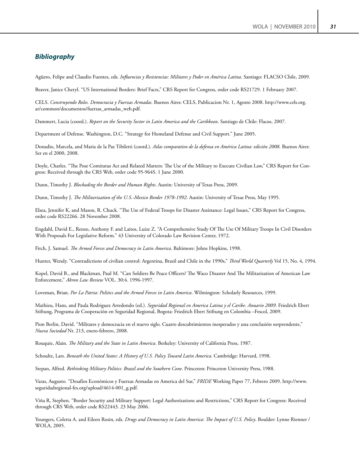# *Bibliography*

Agüero, Felipe and Claudio Fuentes, eds. *Influencias y Resistencias: Militares y Poder en América Latina*. Santiago: FLACSO Chile, 2009.

Beaver, Janice Cheryl. "US International Borders: Brief Facts," CRS Report for Congress, order code RS21729. 1 February 2007.

CELS. *Construyendo Roles. Democracia y Fuerzas Armadas*. Buenos Aires: CELS, Publicacion Nr. 1, Agosto 2008. http://www.cels.org. ar/common/documentos/fuerzas\_armadas\_web.pdf.

Dammert, Lucia (coord.). *Report on the Security Sector in Latin America and the Caribbean*. Santiago de Chile: Flacso, 2007.

Department of Defense. Washington, D.C. "Strategy for Homeland Defense and Civil Support." June 2005.

Donadio, Marcela, and Maria de la Paz Tibiletti (coord.). *Atlas comparativo de la defensa en América Latina: edición 2008*. Buenos Aires: Ser en el 2000, 2008.

Doyle, Charles. "The Pose Comitatus Act and Related Matters: The Use of the Military to Execute Civilian Law," CRS Report for Congress: Received through the CRS Web, order code 95-964S. 1 June 2000.

Dunn, Timothy J. *Blockading the Border and Human Rights*. Austin: University of Texas Press, 2009.

Dunn, Timothy J. *The Militarization of the U.S.-Mexico Border 1978-1992*. Austin: University of Texas Press, May 1995.

Elsea, Jennifer K, and Mason, R. Chuck. "The Use of Federal Troops for Disaster Assistance: Legal Issues," CRS Report for Congress, order code RS22266. 28 November 2008.

Engdahl, David E., Renzo, Anthony F. and Laitos, Luize Z. "A Comprehensive Study Of The Use Of Military Troops In Civil Disorders With Proposals For Legislative Reform." 43 University of Colorado Law Revision Center, 1972.

Fitch, J. Samuel. *The Armed Forces and Democracy in Latin America*. Baltimore: Johns Hopkins, 1998.

Hunter, Wendy. "Contradictions of civilian control: Argentina, Brazil and Chile in the 1990s," *Third World Quarterly* Vol 15, No. 4, 1994.

Kopel, David B., and Blackman, Paul M. "Can Soldiers Be Peace Officers? The Waco Disaster And The Militarization of American Law Enforcement," *Akron Law Review* VOL. 30:4. 1996-1997.

Loveman, Brian. *Por La Patria: Politics and the Armed Forces in Latin America*. Wilmington: Scholarly Resources, 1999.

Mathieu, Hans, and Paula Rodriguez Arredondo (ed.). *Seguridad Regional en America Latina y el Caribe. Anuario 2009*. Friedrich Ebert Stiftung, Programa de Cooperación en Seguridad Regional, Bogota: Friedrich Ebert Stiftung en Colombia –Fescol, 2009.

Pion Berlin, David. "Militares y democracia en el nuevo siglo. Cuatro descubrimientos inesperados y una conclusión sorprendente," *Nueva Sociedad* Nr. 213, enero-febrero, 2008.

Rouquie, Alain. *The Military and the State in Latin America*. Berkeley: University of California Press, 1987.

Schoultz, Lars. *Beneath the United States: A History of U.S. Policy Toward Latin America*. Cambridge: Harvard, 1998.

Stepan, Alfred. *Rethinking Military Politics: Brazil and the Southern Cone*. Princeton: Princeton University Press, 1988.

Varas, Augusto. "Desafíos Económicos y Fuerzas Armadas en America del Sur," *FRIDE* Working Paper 77, Febrero 2009. http://www. seguridadregional-fes.org/upload/4614-001\_g.pdf.

Viña R, Stephen. "Border Security and Military Support: Legal Authorizations and Restrictions," CRS Report for Congress: Received through CRS Web, order code RS22443. 23 May 2006.

Youngers, Coletta A. and Eileen Rosin, eds. *Drugs and Democracy in Latin America: The Impact of U.S. Policy*. Boulder: Lynne Rienner / WOLA, 2005.